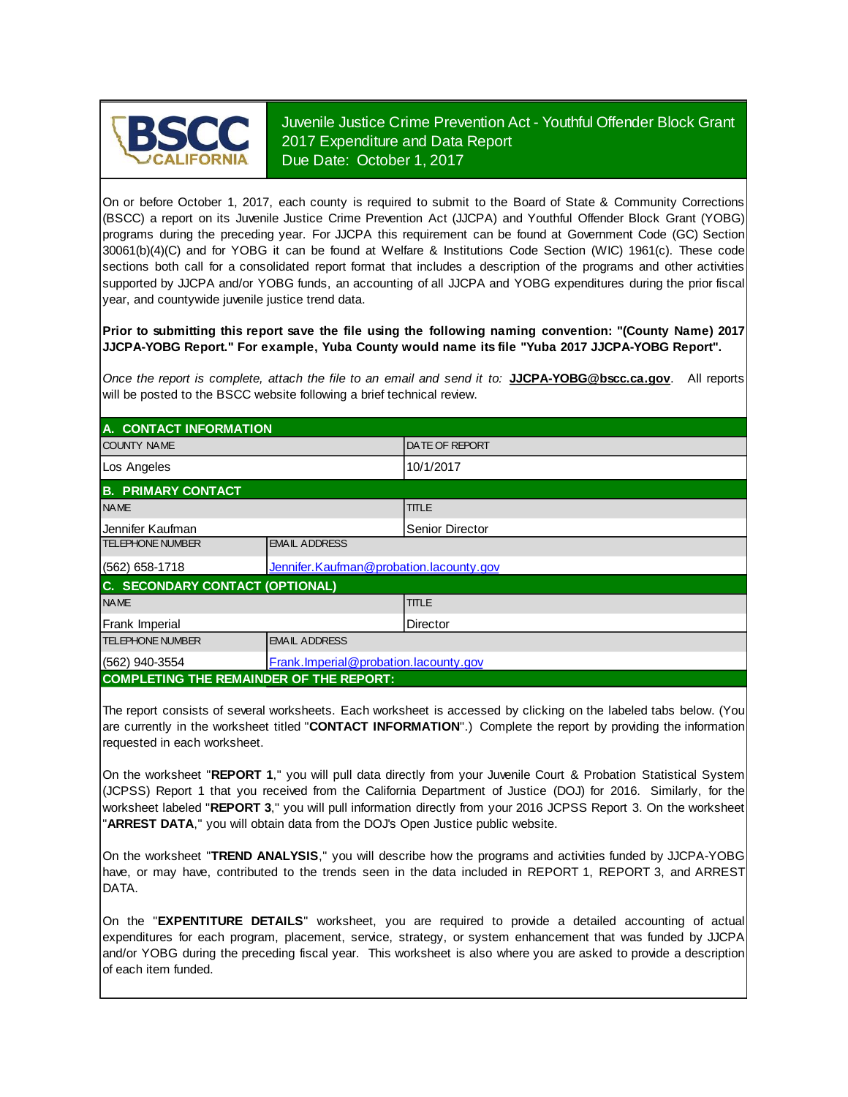

Juvenile Justice Crime Prevention Act - Youthful Offender Block Grant 2017 Expenditure and Data Report Due Date: October 1, 2017

On or before October 1, 2017, each county is required to submit to the Board of State & Community Corrections (BSCC) <sup>a</sup> report on its Juvenile Justice Crime Prevention Act (JJCPA) and Youthful Offender Block Grant (YOBG) programs during the preceding year. For JJCPA this requirement can be found at Government Code (GC) Section 30061(b)(4)(C) and for YOBG it can be found at Welfare & Institutions Code Section (WIC) 1961(c). These code sections both call for <sup>a</sup> consolidated report format that includes <sup>a</sup> description of the programs and other activities supported by JJCPA and/or YOBG funds, an accounting of all JJCPA and YOBG expenditures during the prior fiscal year, and countywide juvenile justice trend data.

**Prior to submitting this report save the file using the following naming convention: "(County Name) 2017 JJCPA-YOBG Report." For example, Yuba County would name its file "Yuba 2017 JJCPA-YOBG Report".**

*Once the report is complete, attach the file t o an email and send it to:* **JJCPA-YOBG@bscc.ca.gov**. All reports will be posted to the BSCC website following a brief technical review.

| A. CONTACT INFORMATION                                    |                                          |                       |  |
|-----------------------------------------------------------|------------------------------------------|-----------------------|--|
| <b>COUNTY NAME</b>                                        |                                          | <b>DATE OF REPORT</b> |  |
| Los Angeles                                               |                                          | 10/1/2017             |  |
| <b>B. PRIMARY CONTACT</b>                                 |                                          |                       |  |
| <b>NAME</b>                                               |                                          | <b>TITLE</b>          |  |
| Jennifer Kaufman                                          |                                          | Senior Director       |  |
| <b>TELEPHONE NUMBER</b>                                   | <b>EMAIL ADDRESS</b>                     |                       |  |
| $(562)$ 658-1718                                          | Jennifer. Kaufman@probation.lacounty.gov |                       |  |
| <b>C. SECONDARY CONTACT (OPTIONAL)</b>                    |                                          |                       |  |
| <b>NAME</b>                                               |                                          | <b>TITLE</b>          |  |
| Frank Imperial                                            |                                          | Director              |  |
| <b>TELEPHONE NUMBER</b>                                   | <b>EMAIL ADDRESS</b>                     |                       |  |
| Frank. Imperial@probation. lacounty.gov<br>(562) 940-3554 |                                          |                       |  |
| <b>COMPLETING THE REMAINDER OF THE REPORT:</b>            |                                          |                       |  |

The report consists of several worksheets. Each worksheet is accessed by clicking on the labeled tabs below. (You are currently in the worksheet titled "**CONTACT INFORMATION**".) Complete the report by providing the information requested in each worksheet.

On the worksheet "**REPORT 1**, " you will pull data directly from your Juvenile Court & Probation Statistical System (JCPSS) Report 1 that you received from the California Department of Justice (DOJ) for 2016. Similarly, for the worksheet labeled "**REPORT 3**, " you will pull information directly from your 2016 JCPSS Report 3. On the worksheet "**ARREST DATA**," you will obtain data from the DOJ's Open Justice public website.

On the worksheet "**TREND ANALYSIS**, " you will describe how the programs and activities funded by JJCPA-YOBG have, or may have, contributed to the trends seen in the data included in REPORT 1, REPORT 3, and ARREST DATA.

On the "EXPENTITURE DETAILS" worksheet, you are required to provide a detailed accounting of actual expenditures for each program, placement, service, strategy, or system enhancement that was funded by JJCPA and/or YOBG during the preceding fiscal year. This worksheet is also where you are asked to provide a description of each item funded.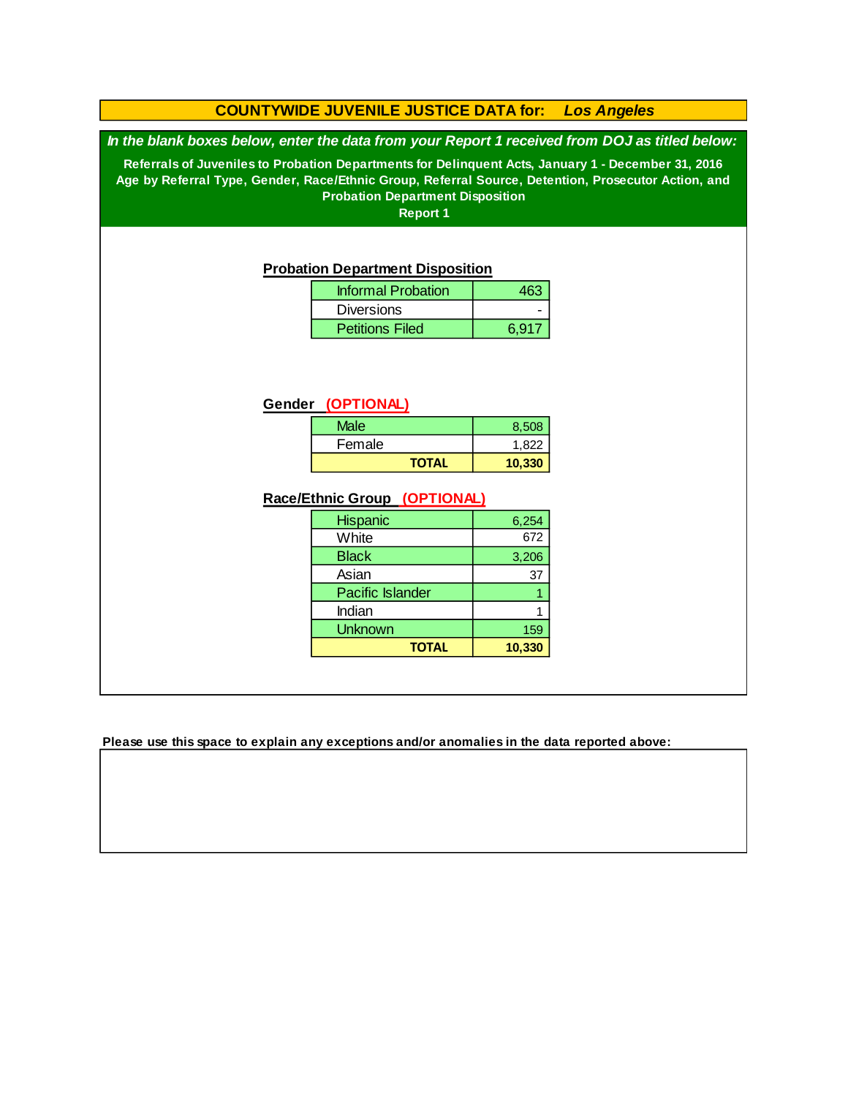#### **COUNTYWIDE JUVENILE JUSTICE DATA for:** *Los Angeles*

*In the blank boxes below, enter the data from your Report 1 received from DOJ as titled below:*

**Referrals of Juveniles to Probation Departments for Delinquent Acts, January 1 - December 31, 2016 Age by Referral Type, Gender, Race/Ethnic Group, Referral Source, Detention, Prosecutor Action, and Probation Department Disposition**

**Report 1**

#### **Probation Department Disposition**

| <b>Informal Probation</b> |       |
|---------------------------|-------|
| <b>Diversions</b>         |       |
| <b>Petitions Filed</b>    | 6.917 |

#### **Gender (OPTIONAL)**

| Male         | 8.508  |
|--------------|--------|
| Female       | 1.822  |
| <b>TOTAL</b> | 10,330 |

#### **Race/Ethnic Group (OPTIONAL)**

| <b>Hispanic</b>         | 6,254  |
|-------------------------|--------|
| White                   | 672    |
| <b>Black</b>            | 3,206  |
| Asian                   | 37     |
| <b>Pacific Islander</b> |        |
| Indian                  |        |
| <b>Unknown</b>          | 159    |
| <b>TOTAL</b>            | 10,330 |

**Please use this space to explain any exceptions and/or anomalies in the data reported above:**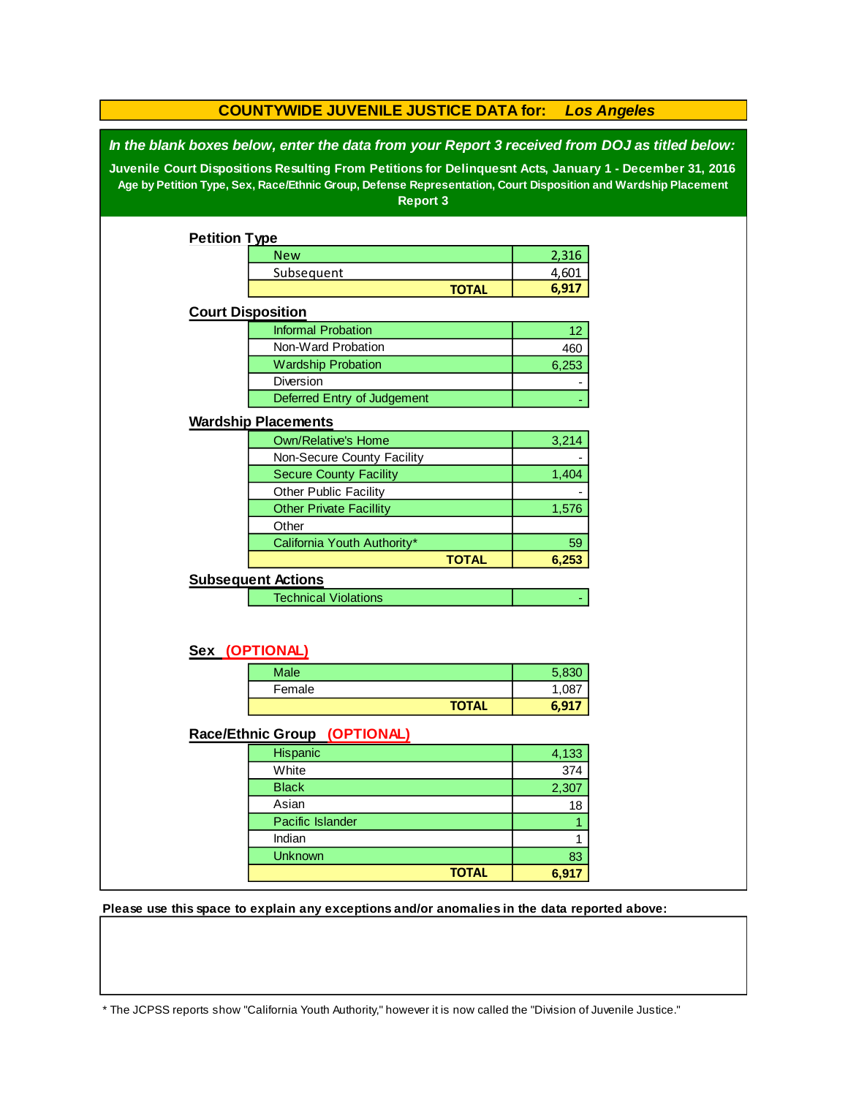| <b>COUNTYWIDE JUVENILE JUSTICE DATA for:</b><br><b>Los Angeles</b>                                       |                                                                                                                |              |              |  |  |
|----------------------------------------------------------------------------------------------------------|----------------------------------------------------------------------------------------------------------------|--------------|--------------|--|--|
| In the blank boxes below, enter the data from your Report 3 received from DOJ as titled below:           |                                                                                                                |              |              |  |  |
| Juvenile Court Dispositions Resulting From Petitions for Delinquesnt Acts, January 1 - December 31, 2016 |                                                                                                                |              |              |  |  |
|                                                                                                          | Age by Petition Type, Sex, Race/Ethnic Group, Defense Representation, Court Disposition and Wardship Placement |              |              |  |  |
|                                                                                                          | <b>Report 3</b>                                                                                                |              |              |  |  |
|                                                                                                          |                                                                                                                |              |              |  |  |
| <b>Petition Type</b>                                                                                     |                                                                                                                |              |              |  |  |
|                                                                                                          | <b>New</b>                                                                                                     |              | 2,316        |  |  |
|                                                                                                          | Subsequent                                                                                                     |              | 4,601        |  |  |
|                                                                                                          |                                                                                                                | <b>TOTAL</b> | 6,917        |  |  |
| <b>Court Disposition</b>                                                                                 |                                                                                                                |              |              |  |  |
|                                                                                                          | <b>Informal Probation</b>                                                                                      |              | 12           |  |  |
|                                                                                                          | Non-Ward Probation                                                                                             |              | 460          |  |  |
|                                                                                                          | <b>Wardship Probation</b>                                                                                      |              | 6,253        |  |  |
|                                                                                                          | Diversion                                                                                                      |              |              |  |  |
|                                                                                                          | Deferred Entry of Judgement                                                                                    |              |              |  |  |
|                                                                                                          | <b>Wardship Placements</b>                                                                                     |              |              |  |  |
|                                                                                                          | <b>Own/Relative's Home</b>                                                                                     |              | 3,214        |  |  |
|                                                                                                          | Non-Secure County Facility                                                                                     |              |              |  |  |
|                                                                                                          | <b>Secure County Facility</b>                                                                                  |              | 1,404        |  |  |
|                                                                                                          | Other Public Facility                                                                                          |              |              |  |  |
|                                                                                                          | <b>Other Private Facillity</b>                                                                                 |              | 1,576        |  |  |
|                                                                                                          | Other                                                                                                          |              |              |  |  |
|                                                                                                          | California Youth Authority*                                                                                    |              | 59           |  |  |
|                                                                                                          |                                                                                                                | <b>TOTAL</b> | 6,253        |  |  |
|                                                                                                          | <b>Subsequent Actions</b>                                                                                      |              |              |  |  |
|                                                                                                          | <b>Technical Violations</b>                                                                                    |              |              |  |  |
|                                                                                                          |                                                                                                                |              |              |  |  |
|                                                                                                          |                                                                                                                |              |              |  |  |
| Sex (OPTIONAL)                                                                                           |                                                                                                                |              |              |  |  |
|                                                                                                          | <b>Male</b>                                                                                                    |              | 5,830        |  |  |
|                                                                                                          | Female                                                                                                         |              | 1,087        |  |  |
|                                                                                                          |                                                                                                                | <b>TOTAL</b> | 6,917        |  |  |
|                                                                                                          | Race/Ethnic Group (OPTIONAL)                                                                                   |              |              |  |  |
|                                                                                                          | Hispanic                                                                                                       |              | 4,133        |  |  |
|                                                                                                          | White                                                                                                          |              | 374          |  |  |
|                                                                                                          | <b>Black</b>                                                                                                   |              | 2,307        |  |  |
|                                                                                                          | Asian                                                                                                          |              | 18           |  |  |
|                                                                                                          | Pacific Islander                                                                                               |              | $\mathbf{1}$ |  |  |
|                                                                                                          | Indian                                                                                                         |              | 1            |  |  |
|                                                                                                          | Unknown                                                                                                        |              | 83           |  |  |
|                                                                                                          |                                                                                                                | <b>TOTAL</b> | 6,917        |  |  |
|                                                                                                          |                                                                                                                |              |              |  |  |

**Please use this space to explain any exceptions and/or anomalies in the data reported above:** 

\* The JCPSS reports show "California Youth Authority," however it is now called the "Division of Juvenile Justice."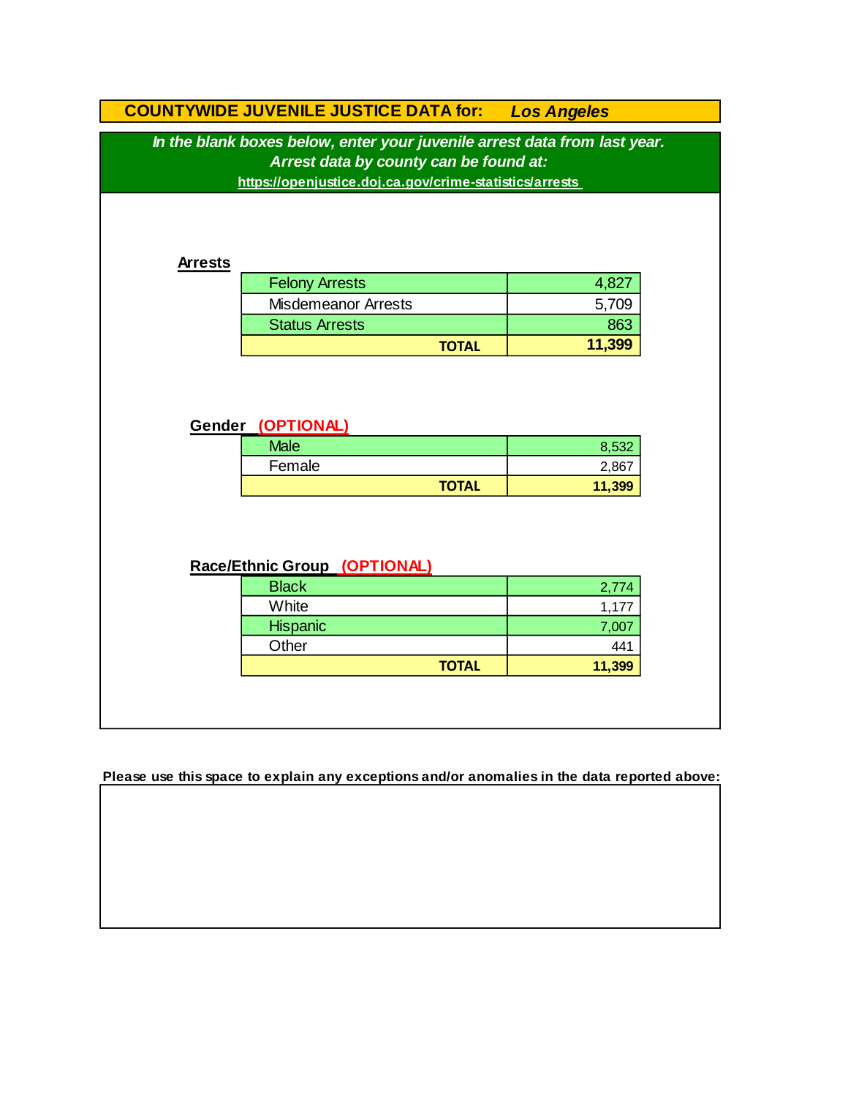|                                                                           | <b>COUNTYWIDE JUVENILE JUSTICE DATA for:</b>            | <b>Los Angeles</b> |       |  |
|---------------------------------------------------------------------------|---------------------------------------------------------|--------------------|-------|--|
| In the blank boxes below, enter your juvenile arrest data from last year. |                                                         |                    |       |  |
|                                                                           | Arrest data by county can be found at:                  |                    |       |  |
|                                                                           | https://openjustice.doj.ca.gov/crime-statistics/arrests |                    |       |  |
|                                                                           |                                                         |                    |       |  |
|                                                                           |                                                         |                    |       |  |
| <b>Arrests</b>                                                            |                                                         |                    |       |  |
|                                                                           | <b>Felony Arrests</b>                                   | 4,827              |       |  |
|                                                                           | <b>Misdemeanor Arrests</b>                              | 5,709              |       |  |
|                                                                           | <b>Status Arrests</b>                                   |                    | 863   |  |
|                                                                           | <b>TOTAL</b>                                            | 11,399             |       |  |
|                                                                           | Gender (OPTIONAL)                                       |                    |       |  |
|                                                                           | <b>Male</b>                                             |                    | 8,532 |  |
|                                                                           | Female                                                  |                    | 2,867 |  |
|                                                                           | <b>TOTAL</b>                                            | 11,399             |       |  |
|                                                                           |                                                         |                    |       |  |
|                                                                           |                                                         |                    |       |  |
|                                                                           | Race/Ethnic Group (OPTIONAL)                            |                    |       |  |
|                                                                           | <b>Black</b>                                            |                    | 2,774 |  |
|                                                                           | White                                                   |                    | 1,177 |  |
|                                                                           | Hispanic                                                |                    | 7,007 |  |
|                                                                           | Other                                                   |                    | 441   |  |
|                                                                           | <b>TOTAL</b>                                            | 11,399             |       |  |
|                                                                           |                                                         |                    |       |  |
|                                                                           |                                                         |                    |       |  |

**Please use this space to explain any exceptions and/or anomalies in the data reported above:**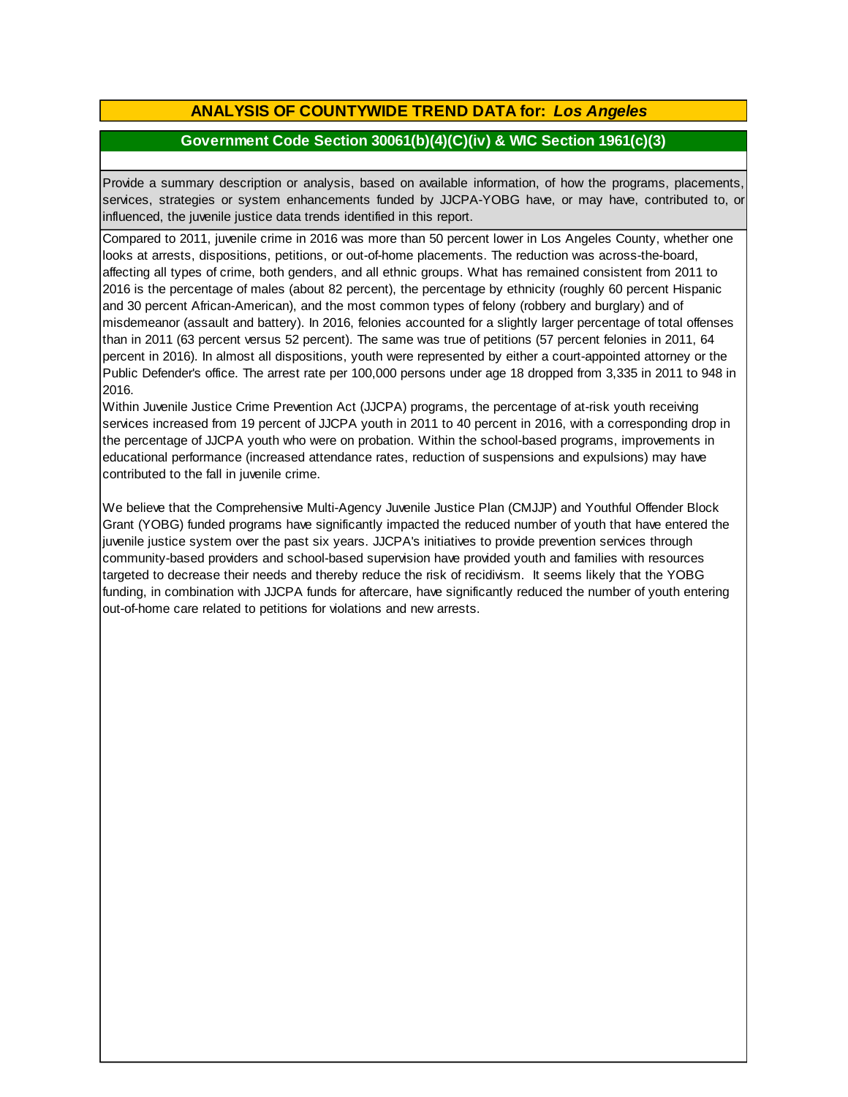### **ANALYSIS OF COUNTYWIDE TREND DATA for:** *Los Angeles*

#### **Government Code Section 30061(b)(4)(C)(iv) & WIC Section 1961(c)(3)**

Provide <sup>a</sup> summary description or analysis, based on available information, of how the programs, placements, services, strategies or system enhancements funded by JJCPA-YOBG have, or may have, contributed to, or influenced, the juvenile justice data trends identified in this report.

Compared to 2011, juvenile crime in 2016 was more than 50 percent lower in Los Angeles County, whether one looks at arrests, dispositions, petitions, or out-of-home placements. The reduction was across-the-board, affecting all types of crime, both genders, and all ethnic groups. What has remained consistent from 2011 to 2016 is the percentage of males (about 82 percent), the percentage by ethnicity (roughly 60 percent Hispanic and 30 percent African-American), and the most common types of felony (robbery and burglary) and of misdemeanor (assault and battery). In 2016, felonies accounted for a slightly larger percentage of total offenses than in 2011 (63 percent versus 52 percent). The same was true of petitions (57 percent felonies in 2011, 64 percent in 2016). In almost all dispositions, youth were represented by either a court-appointed attorney or the Public Defender's office. The arrest rate per 100,000 persons under age 18 dropped from 3,335 in 2011 to 948 in 2016.

Within Juvenile Justice Crime Prevention Act (JJCPA) programs, the percentage of at-risk youth receiving services increased from 19 percent of JJCPA youth in 2011 to 40 percent in 2016, with a corresponding drop in the percentage of JJCPA youth who were on probation. Within the school-based programs, improvements in educational performance (increased attendance rates, reduction of suspensions and expulsions) may have contributed to the fall in juvenile crime.

We believe that the Comprehensive Multi-Agency Juvenile Justice Plan (CMJJP) and Youthful Offender Block Grant (YOBG) funded programs have significantly impacted the reduced number of youth that have entered the juvenile justice system over the past six years. JJCPA's initiatives to provide prevention services through community-based providers and school-based supervision have provided youth and families with resources targeted to decrease their needs and thereby reduce the risk of recidivism. It seems likely that the YOBG funding, in combination with JJCPA funds for aftercare, have significantly reduced the number of youth entering out-of-home care related to petitions for violations and new arrests.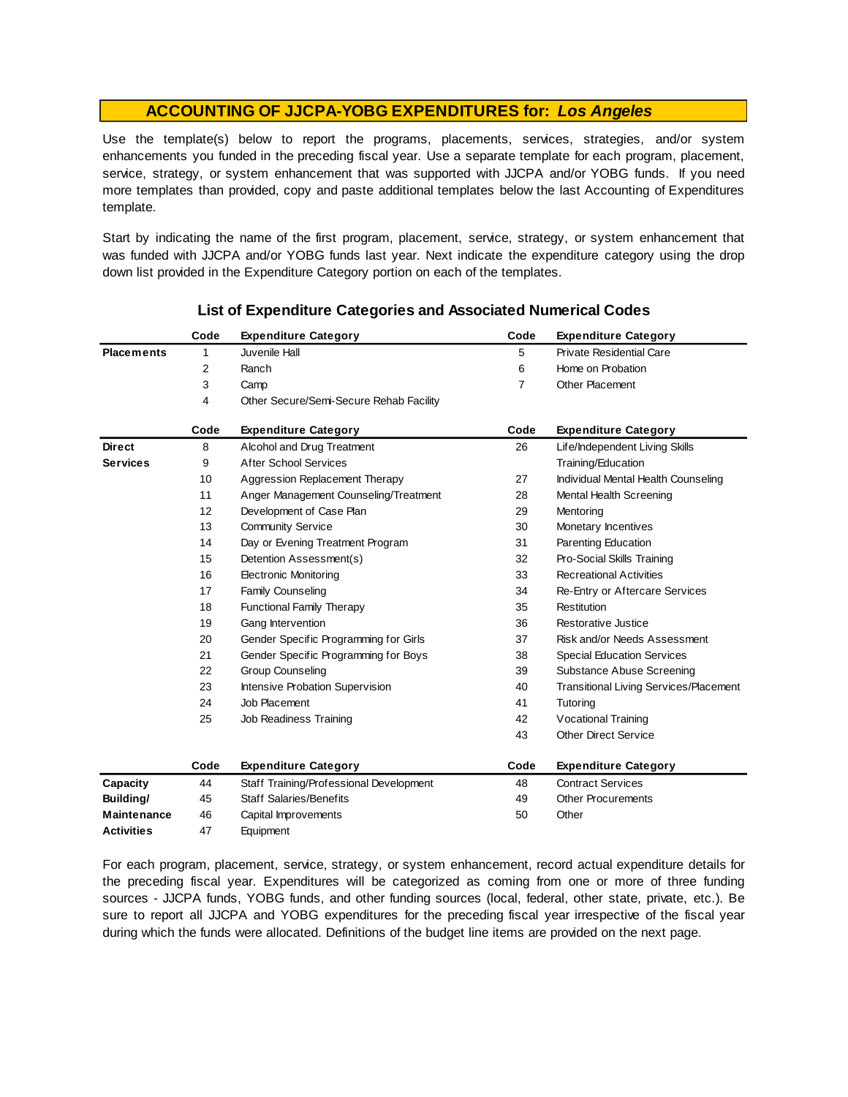Use the template(s) below to report the programs, placements, services, strategies, and/or system enhancements you funded in the preceding fiscal year. Use <sup>a</sup> separate template for each program, placement, service, strategy, or system enhancement that was supported with JJCPA and/or YOBG funds. If you need more templates than provided, copy and paste additional templates below the last Accounting of Expenditures template.

Start by indicating the name of the first program, placement, service, strategy, or system enhancement that was funded with JJCPA and/or YOBG funds last year. Next indicate the expenditure category using the drop down list provided in the Expenditure Category portion on each of the templates.

|                    | Code | <b>Expenditure Category</b>             | Code           | <b>Expenditure Category</b>                   |
|--------------------|------|-----------------------------------------|----------------|-----------------------------------------------|
| <b>Placements</b>  | 1    | Juvenile Hall                           | 5              | <b>Private Residential Care</b>               |
|                    | 2    | Ranch                                   | 6              | Home on Probation                             |
|                    | 3    | Camp                                    | $\overline{7}$ | <b>Other Placement</b>                        |
|                    | 4    | Other Secure/Semi-Secure Rehab Facility |                |                                               |
|                    | Code | <b>Expenditure Category</b>             | Code           | <b>Expenditure Category</b>                   |
| <b>Direct</b>      | 8    | Alcohol and Drug Treatment              | 26             | Life/Independent Living Skills                |
| <b>Services</b>    | 9    | <b>After School Services</b>            |                | Training/Education                            |
|                    | 10   | Aggression Replacement Therapy          | 27             | Individual Mental Health Counseling           |
|                    | 11   | Anger Management Counseling/Treatment   | 28             | Mental Health Screening                       |
|                    | 12   | Development of Case Plan                | 29             | Mentoring                                     |
|                    | 13   | <b>Community Service</b>                | 30             | Monetary Incentives                           |
|                    | 14   | Day or Evening Treatment Program        | 31             | Parenting Education                           |
|                    | 15   | Detention Assessment(s)                 | 32             | Pro-Social Skills Training                    |
|                    | 16   | <b>Electronic Monitoring</b>            | 33             | <b>Recreational Activities</b>                |
|                    | 17   | Family Counseling                       | 34             | Re-Entry or Aftercare Services                |
|                    | 18   | <b>Functional Family Therapy</b>        | 35             | Restitution                                   |
|                    | 19   | Gang Intervention                       | 36             | <b>Restorative Justice</b>                    |
|                    | 20   | Gender Specific Programming for Girls   | 37             | Risk and/or Needs Assessment                  |
|                    | 21   | Gender Specific Programming for Boys    | 38             | <b>Special Education Services</b>             |
|                    | 22   | <b>Group Counseling</b>                 | 39             | Substance Abuse Screening                     |
|                    | 23   | Intensive Probation Supervision         | 40             | <b>Transitional Living Services/Placement</b> |
|                    | 24   | Job Placement                           | 41             | Tutoring                                      |
|                    | 25   | Job Readiness Training                  | 42             | <b>Vocational Training</b>                    |
|                    |      |                                         | 43             | <b>Other Direct Service</b>                   |
|                    | Code | <b>Expenditure Category</b>             | Code           | <b>Expenditure Category</b>                   |
| Capacity           | 44   | Staff Training/Professional Development | 48             | <b>Contract Services</b>                      |
| Building/          | 45   | <b>Staff Salaries/Benefits</b>          | 49             | <b>Other Procurements</b>                     |
| <b>Maintenance</b> | 46   | Capital Improvements                    | 50             | Other                                         |
| <b>Activities</b>  | 47   | Equipment                               |                |                                               |

#### **List of Expenditure Categories and Associated Numerical Codes**

For each program, placement, service, strategy, or system enhancement, record actual expenditure details for the preceding fiscal year. Expenditures will be categorized as coming from one or more of three funding sources - JJCPA funds, YOBG funds, and other funding sources (local, federal, other state, private, etc.). Be sure to report all JJCPA and YOBG expenditures for the preceding fiscal year irrespective of the fiscal year during which the funds were allocated. Definitions of the budget line items are provided on the next page.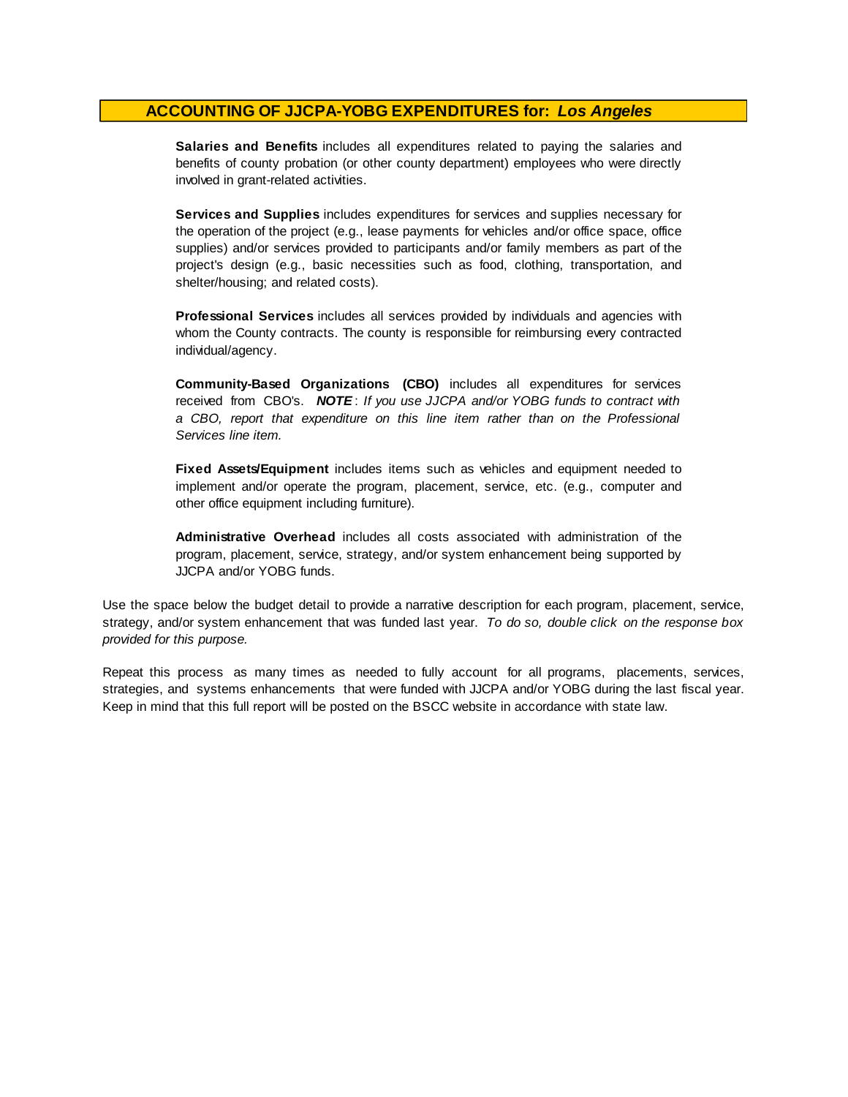**Salaries and Benefits** includes all expenditures related to paying the salaries and benefits of county probation (or other county department) employees who were directly involved in grant-related activities.

**Services and Supplies** includes expenditures for services and supplies necessary for the operation of the project (e.g., lease payments for vehicles and/or office space, office supplies) and/or services provided to participants and/or family members as part of the project's design (e.g., basic necessities such as food, clothing, transportation, and shelter/housing; and related costs).

**Professional Services** includes all services provided by individuals and agencies with whom the County contracts. The county is responsible for reimbursing every contracted individual/agency.

**Community-Based Organizations (CBO)** includes all expenditures for services received from CBO's. *NOTE* : *I f you use JJCPA and/or YOBG funds t o contract with <sup>a</sup> CBO, report that expenditure on this line item rather than on the Professional Services line item.*

**Fixed Assets/Equipment** includes items such as vehicles and equipment needed to implement and/or operate the program, placement, service, etc. (e.g., computer and other office equipment including furniture).

**Administrative Overhead** includes all costs associated with administration of the program, placement, service, strategy, and/or system enhancement being supported by JJCPA and/or YOBG funds.

Use the space below the budget detail to provide a narrative description for each program, placement, service, strategy, and/or system enhancement that was funded last year. *To do so, double click on the response box provided for this purpose.* 

Repeat this process as many times as needed to fully account for all programs, placements, services, strategies, and systems enhancements that were funded with JJCPA and/or YOBG during the last fiscal year. Keep in mind that this full report will be posted on the BSCC website in accordance with state law.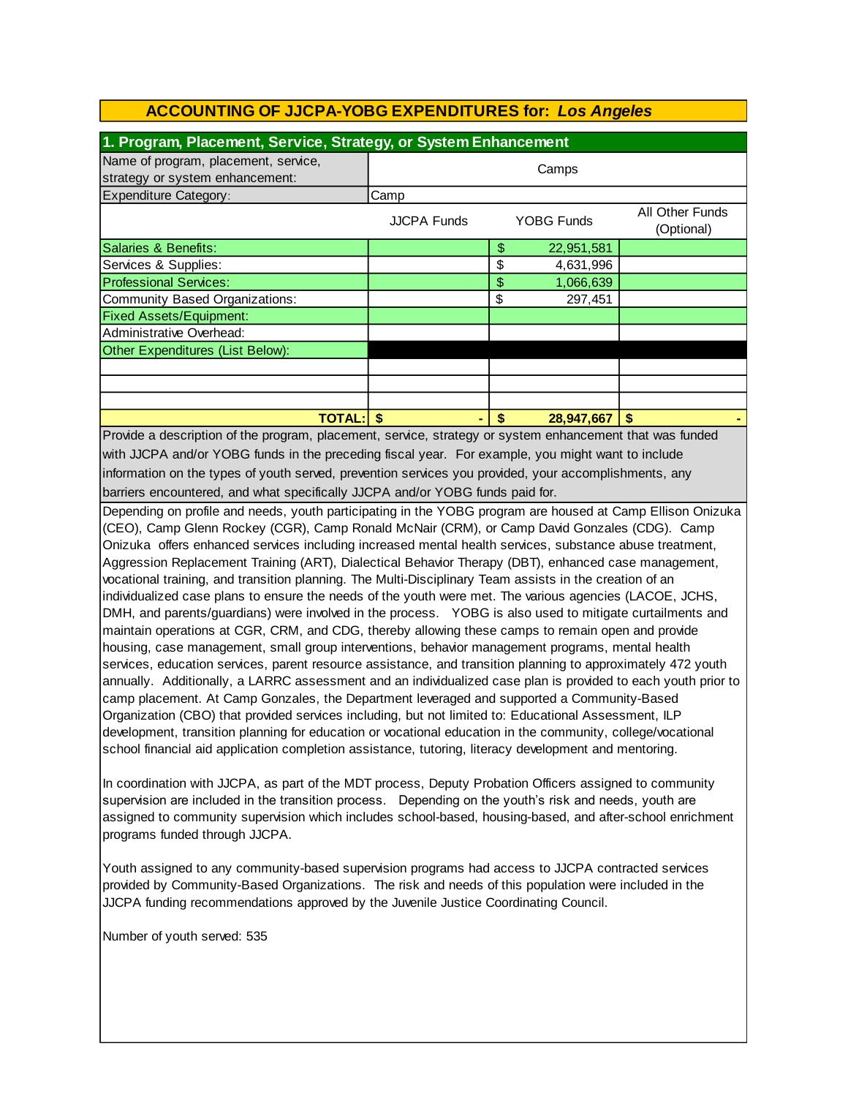| Name of program, placement, service,                                                                                                                                                                                                                                                                                                                                                                                                                                                                                                                                                                                                                                                                                                                                                                                                                                                                                                                                                                                                                                                                                                                                                                                                                                                                                                                                                                                                                                                                                                                                                                                                                                                                                                                                                                                                                                                                                                                                                                                                                                                                                                                                                                                                                                                                                                                                                                                    | 1. Program, Placement, Service, Strategy, or System Enhancement |    |            |                               |  |
|-------------------------------------------------------------------------------------------------------------------------------------------------------------------------------------------------------------------------------------------------------------------------------------------------------------------------------------------------------------------------------------------------------------------------------------------------------------------------------------------------------------------------------------------------------------------------------------------------------------------------------------------------------------------------------------------------------------------------------------------------------------------------------------------------------------------------------------------------------------------------------------------------------------------------------------------------------------------------------------------------------------------------------------------------------------------------------------------------------------------------------------------------------------------------------------------------------------------------------------------------------------------------------------------------------------------------------------------------------------------------------------------------------------------------------------------------------------------------------------------------------------------------------------------------------------------------------------------------------------------------------------------------------------------------------------------------------------------------------------------------------------------------------------------------------------------------------------------------------------------------------------------------------------------------------------------------------------------------------------------------------------------------------------------------------------------------------------------------------------------------------------------------------------------------------------------------------------------------------------------------------------------------------------------------------------------------------------------------------------------------------------------------------------------------|-----------------------------------------------------------------|----|------------|-------------------------------|--|
|                                                                                                                                                                                                                                                                                                                                                                                                                                                                                                                                                                                                                                                                                                                                                                                                                                                                                                                                                                                                                                                                                                                                                                                                                                                                                                                                                                                                                                                                                                                                                                                                                                                                                                                                                                                                                                                                                                                                                                                                                                                                                                                                                                                                                                                                                                                                                                                                                         | Camps                                                           |    |            |                               |  |
| strategy or system enhancement:                                                                                                                                                                                                                                                                                                                                                                                                                                                                                                                                                                                                                                                                                                                                                                                                                                                                                                                                                                                                                                                                                                                                                                                                                                                                                                                                                                                                                                                                                                                                                                                                                                                                                                                                                                                                                                                                                                                                                                                                                                                                                                                                                                                                                                                                                                                                                                                         |                                                                 |    |            |                               |  |
| <b>Expenditure Category:</b>                                                                                                                                                                                                                                                                                                                                                                                                                                                                                                                                                                                                                                                                                                                                                                                                                                                                                                                                                                                                                                                                                                                                                                                                                                                                                                                                                                                                                                                                                                                                                                                                                                                                                                                                                                                                                                                                                                                                                                                                                                                                                                                                                                                                                                                                                                                                                                                            | Camp                                                            |    |            |                               |  |
|                                                                                                                                                                                                                                                                                                                                                                                                                                                                                                                                                                                                                                                                                                                                                                                                                                                                                                                                                                                                                                                                                                                                                                                                                                                                                                                                                                                                                                                                                                                                                                                                                                                                                                                                                                                                                                                                                                                                                                                                                                                                                                                                                                                                                                                                                                                                                                                                                         | <b>JJCPA Funds</b>                                              |    | YOBG Funds | All Other Funds<br>(Optional) |  |
| Salaries & Benefits:                                                                                                                                                                                                                                                                                                                                                                                                                                                                                                                                                                                                                                                                                                                                                                                                                                                                                                                                                                                                                                                                                                                                                                                                                                                                                                                                                                                                                                                                                                                                                                                                                                                                                                                                                                                                                                                                                                                                                                                                                                                                                                                                                                                                                                                                                                                                                                                                    |                                                                 | \$ | 22,951,581 |                               |  |
| Services & Supplies:                                                                                                                                                                                                                                                                                                                                                                                                                                                                                                                                                                                                                                                                                                                                                                                                                                                                                                                                                                                                                                                                                                                                                                                                                                                                                                                                                                                                                                                                                                                                                                                                                                                                                                                                                                                                                                                                                                                                                                                                                                                                                                                                                                                                                                                                                                                                                                                                    |                                                                 | \$ | 4,631,996  |                               |  |
| <b>Professional Services:</b>                                                                                                                                                                                                                                                                                                                                                                                                                                                                                                                                                                                                                                                                                                                                                                                                                                                                                                                                                                                                                                                                                                                                                                                                                                                                                                                                                                                                                                                                                                                                                                                                                                                                                                                                                                                                                                                                                                                                                                                                                                                                                                                                                                                                                                                                                                                                                                                           |                                                                 | \$ | 1,066,639  |                               |  |
| <b>Community Based Organizations:</b>                                                                                                                                                                                                                                                                                                                                                                                                                                                                                                                                                                                                                                                                                                                                                                                                                                                                                                                                                                                                                                                                                                                                                                                                                                                                                                                                                                                                                                                                                                                                                                                                                                                                                                                                                                                                                                                                                                                                                                                                                                                                                                                                                                                                                                                                                                                                                                                   |                                                                 | \$ | 297,451    |                               |  |
| <b>Fixed Assets/Equipment:</b>                                                                                                                                                                                                                                                                                                                                                                                                                                                                                                                                                                                                                                                                                                                                                                                                                                                                                                                                                                                                                                                                                                                                                                                                                                                                                                                                                                                                                                                                                                                                                                                                                                                                                                                                                                                                                                                                                                                                                                                                                                                                                                                                                                                                                                                                                                                                                                                          |                                                                 |    |            |                               |  |
| Administrative Overhead:                                                                                                                                                                                                                                                                                                                                                                                                                                                                                                                                                                                                                                                                                                                                                                                                                                                                                                                                                                                                                                                                                                                                                                                                                                                                                                                                                                                                                                                                                                                                                                                                                                                                                                                                                                                                                                                                                                                                                                                                                                                                                                                                                                                                                                                                                                                                                                                                |                                                                 |    |            |                               |  |
| Other Expenditures (List Below):                                                                                                                                                                                                                                                                                                                                                                                                                                                                                                                                                                                                                                                                                                                                                                                                                                                                                                                                                                                                                                                                                                                                                                                                                                                                                                                                                                                                                                                                                                                                                                                                                                                                                                                                                                                                                                                                                                                                                                                                                                                                                                                                                                                                                                                                                                                                                                                        |                                                                 |    |            |                               |  |
|                                                                                                                                                                                                                                                                                                                                                                                                                                                                                                                                                                                                                                                                                                                                                                                                                                                                                                                                                                                                                                                                                                                                                                                                                                                                                                                                                                                                                                                                                                                                                                                                                                                                                                                                                                                                                                                                                                                                                                                                                                                                                                                                                                                                                                                                                                                                                                                                                         |                                                                 |    |            |                               |  |
|                                                                                                                                                                                                                                                                                                                                                                                                                                                                                                                                                                                                                                                                                                                                                                                                                                                                                                                                                                                                                                                                                                                                                                                                                                                                                                                                                                                                                                                                                                                                                                                                                                                                                                                                                                                                                                                                                                                                                                                                                                                                                                                                                                                                                                                                                                                                                                                                                         |                                                                 |    |            |                               |  |
|                                                                                                                                                                                                                                                                                                                                                                                                                                                                                                                                                                                                                                                                                                                                                                                                                                                                                                                                                                                                                                                                                                                                                                                                                                                                                                                                                                                                                                                                                                                                                                                                                                                                                                                                                                                                                                                                                                                                                                                                                                                                                                                                                                                                                                                                                                                                                                                                                         |                                                                 |    |            |                               |  |
| <b>TOTAL:</b>                                                                                                                                                                                                                                                                                                                                                                                                                                                                                                                                                                                                                                                                                                                                                                                                                                                                                                                                                                                                                                                                                                                                                                                                                                                                                                                                                                                                                                                                                                                                                                                                                                                                                                                                                                                                                                                                                                                                                                                                                                                                                                                                                                                                                                                                                                                                                                                                           | \$                                                              | \$ | 28,947,667 | \$                            |  |
| Provide a description of the program, placement, service, strategy or system enhancement that was funded<br>with JJCPA and/or YOBG funds in the preceding fiscal year. For example, you might want to include<br>information on the types of youth served, prevention services you provided, your accomplishments, any<br>barriers encountered, and what specifically JJCPA and/or YOBG funds paid for.<br>Depending on profile and needs, youth participating in the YOBG program are housed at Camp Ellison Onizuka<br>(CEO), Camp Glenn Rockey (CGR), Camp Ronald McNair (CRM), or Camp David Gonzales (CDG). Camp<br>Onizuka offers enhanced services including increased mental health services, substance abuse treatment,<br>Aggression Replacement Training (ART), Dialectical Behavior Therapy (DBT), enhanced case management,<br>vocational training, and transition planning. The Multi-Disciplinary Team assists in the creation of an<br>individualized case plans to ensure the needs of the youth were met. The various agencies (LACOE, JCHS,<br>DMH, and parents/guardians) were involved in the process. YOBG is also used to mitigate curtailments and<br>maintain operations at CGR, CRM, and CDG, thereby allowing these camps to remain open and provide<br>housing, case management, small group interventions, behavior management programs, mental health<br>services, education services, parent resource assistance, and transition planning to approximately 472 youth<br>annually. Additionally, a LARRC assessment and an individualized case plan is provided to each youth prior to<br>camp placement. At Camp Gonzales, the Department leveraged and supported a Community-Based<br>Organization (CBO) that provided services including, but not limited to: Educational Assessment, ILP<br>development, transition planning for education or vocational education in the community, college/vocational<br>school financial aid application completion assistance, tutoring, literacy development and mentoring.<br>In coordination with JJCPA, as part of the MDT process, Deputy Probation Officers assigned to community<br>supervision are included in the transition process.  Depending on the youth's risk and needs, youth are<br>assigned to community supervision which includes school-based, housing-based, and after-school enrichment<br>programs funded through JJCPA. |                                                                 |    |            |                               |  |

Youth assigned to any community-based supervision programs had access to JJCPA contracted services provided by Community-Based Organizations. The risk and needs of this population were included in the JJCPA funding recommendations approved by the Juvenile Justice Coordinating Council.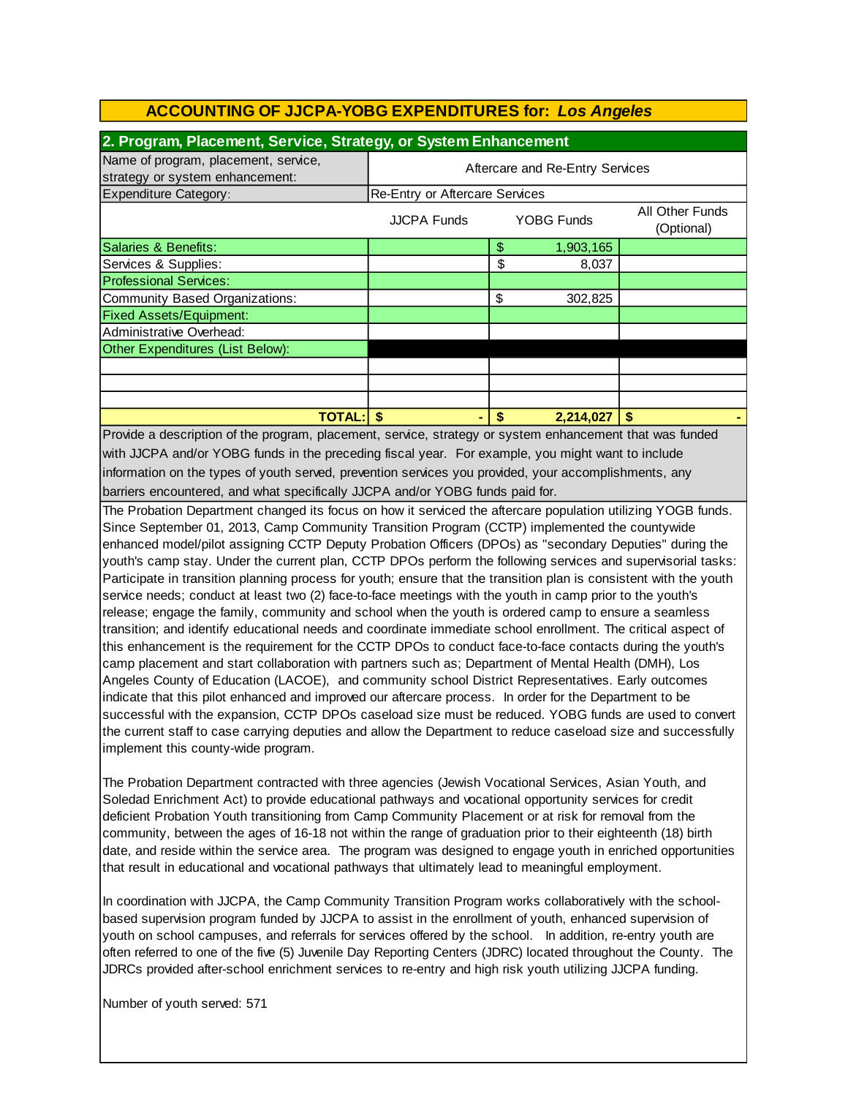| 2. Program, Placement, Service, Strategy, or System Enhancement         |                                       |    |                   |                               |  |
|-------------------------------------------------------------------------|---------------------------------------|----|-------------------|-------------------------------|--|
| Name of program, placement, service,<br>strategy or system enhancement: | Aftercare and Re-Entry Services       |    |                   |                               |  |
| Expenditure Category:                                                   | <b>Re-Entry or Aftercare Services</b> |    |                   |                               |  |
|                                                                         | <b>JJCPA Funds</b>                    |    | <b>YOBG Funds</b> | All Other Funds<br>(Optional) |  |
| Salaries & Benefits:                                                    |                                       | \$ | 1,903,165         |                               |  |
| Services & Supplies:                                                    |                                       | \$ | 8,037             |                               |  |
| <b>Professional Services:</b>                                           |                                       |    |                   |                               |  |
| Community Based Organizations:                                          |                                       | \$ | 302,825           |                               |  |
| <b>Fixed Assets/Equipment:</b>                                          |                                       |    |                   |                               |  |
| Administrative Overhead:                                                |                                       |    |                   |                               |  |
| Other Expenditures (List Below):                                        |                                       |    |                   |                               |  |
|                                                                         |                                       |    |                   |                               |  |
|                                                                         |                                       |    |                   |                               |  |
|                                                                         |                                       |    |                   |                               |  |
| <b>TOTAL:</b><br>$\mathbf{r}$ and $\mathbf{r}$                          |                                       |    | 2,214,027         |                               |  |

barriers encountered, and what specifically JJCPA and/or YOBG funds paid for. Provide a description of the program, placement, service, strategy or system enhancement that was funded with JJCPA and/or YOBG funds in the preceding fiscal year. For example, you might want to include information on the types of youth served, prevention services you provided, your accomplishments, any

The Probation Department changed its focus on how it serviced the aftercare population utilizing YOGB funds. Since September 01, 2013, Camp Community Transition Program (CCTP) implemented the countywide enhanced model/pilot assigning CCTP Deputy Probation Officers (DPOs) as "secondary Deputies" during the youth's camp stay. Under the current plan, CCTP DPOs perform the following services and supervisorial tasks: Participate in transition planning process for youth; ensure that the transition plan is consistent with the youth service needs; conduct at least two (2) face-to-face meetings with the youth in camp prior to the youth's release; engage the family, community and school when the youth is ordered camp to ensure a seamless transition; and identify educational needs and coordinate immediate school enrollment. The critical aspect of this enhancement is the requirement for the CCTP DPOs to conduct face-to-face contacts during the youth's camp placement and start collaboration with partners such as; Department of Mental Health (DMH), Los Angeles County of Education (LACOE), and community school District Representatives. Early outcomes indicate that this pilot enhanced and improved our aftercare process. In order for the Department to be successful with the expansion, CCTP DPOs caseload size must be reduced. YOBG funds are used to convert the current staff to case carrying deputies and allow the Department to reduce caseload size and successfully implement this county-wide program.

The Probation Department contracted with three agencies (Jewish Vocational Services, Asian Youth, and Soledad Enrichment Act) to provide educational pathways and vocational opportunity services for credit deficient Probation Youth transitioning from Camp Community Placement or at risk for removal from the community, between the ages of 16-18 not within the range of graduation prior to their eighteenth (18) birth date, and reside within the service area. The program was designed to engage youth in enriched opportunities that result in educational and vocational pathways that ultimately lead to meaningful employment.

In coordination with JJCPA, the Camp Community Transition Program works collaboratively with the schoolbased supervision program funded by JJCPA to assist in the enrollment of youth, enhanced supervision of youth on school campuses, and referrals for services offered by the school. In addition, re-entry youth are often referred to one of the five (5) Juvenile Day Reporting Centers (JDRC) located throughout the County. The JDRCs provided after-school enrichment services to re-entry and high risk youth utilizing JJCPA funding.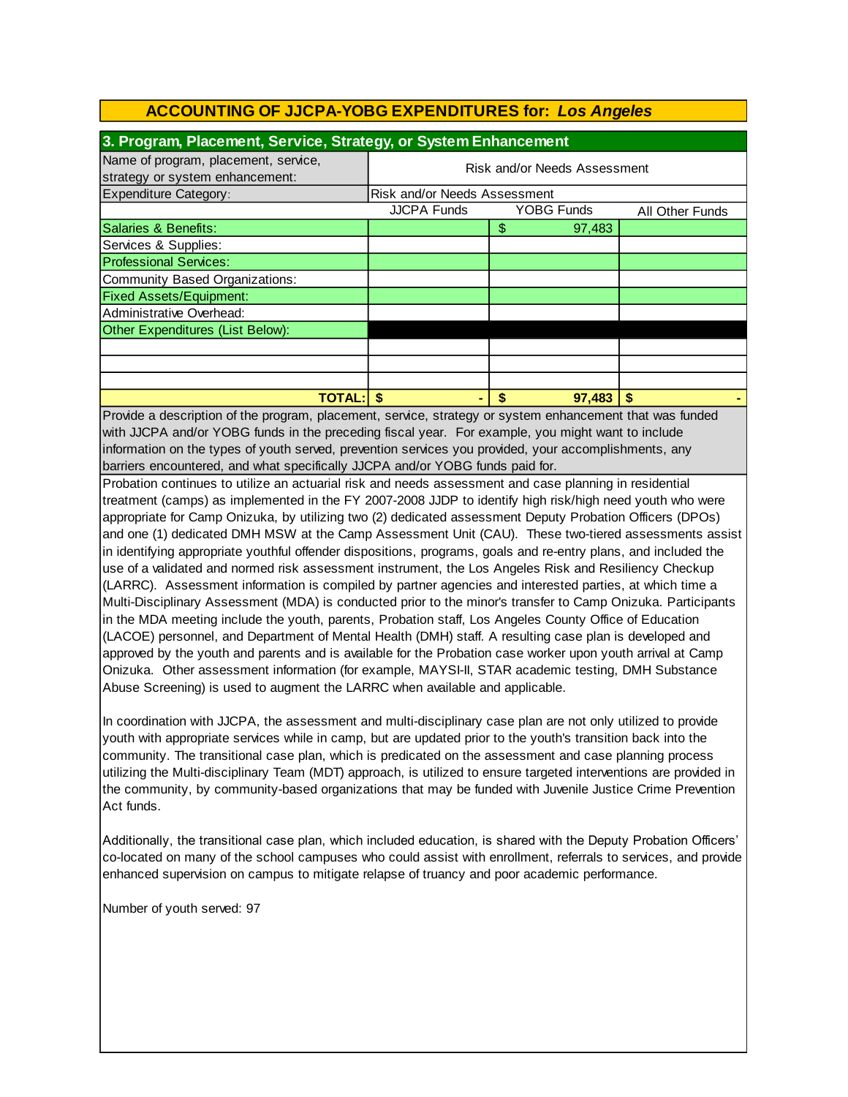| 3. Program, Placement, Service, Strategy, or System Enhancement         |                              |                   |                        |  |  |
|-------------------------------------------------------------------------|------------------------------|-------------------|------------------------|--|--|
| Name of program, placement, service,<br>strategy or system enhancement: | Risk and/or Needs Assessment |                   |                        |  |  |
| <b>Expenditure Category:</b>                                            | Risk and/or Needs Assessment |                   |                        |  |  |
|                                                                         | <b>JJCPA Funds</b>           | <b>YOBG Funds</b> | <b>All Other Funds</b> |  |  |
| Salaries & Benefits:                                                    |                              | \$<br>97,483      |                        |  |  |
| Services & Supplies:                                                    |                              |                   |                        |  |  |
| <b>Professional Services:</b>                                           |                              |                   |                        |  |  |
| Community Based Organizations:                                          |                              |                   |                        |  |  |
| <b>Fixed Assets/Equipment:</b>                                          |                              |                   |                        |  |  |
| Administrative Overhead:                                                |                              |                   |                        |  |  |
| Other Expenditures (List Below):                                        |                              |                   |                        |  |  |
|                                                                         |                              |                   |                        |  |  |
|                                                                         |                              |                   |                        |  |  |
|                                                                         |                              |                   |                        |  |  |
| <b>TOTAL:</b>                                                           |                              | \$<br>97.483      |                        |  |  |

barriers encountered, and what specifically JJCPA and/or YOBG funds paid for. information on the types of youth served, prevention services you provided, your accomplishments, any Provide a description of the program, placement, service, strategy or system enhancement that was funded with JJCPA and/or YOBG funds in the preceding fiscal year. For example, you might want to include

Probation continues to utilize an actuarial risk and needs assessment and case planning in residential treatment (camps) as implemented in the FY 2007-2008 JJDP to identify high risk/high need youth who were appropriate for Camp Onizuka, by utilizing two (2) dedicated assessment Deputy Probation Officers (DPOs) and one (1) dedicated DMH MSW at the Camp Assessment Unit (CAU). These two-tiered assessments assist in identifying appropriate youthful offender dispositions, programs, goals and re-entry plans, and included the use of a validated and normed risk assessment instrument, the Los Angeles Risk and Resiliency Checkup (LARRC). Assessment information is compiled by partner agencies and interested parties, at which time a Multi-Disciplinary Assessment (MDA) is conducted prior to the minor's transfer to Camp Onizuka. Participants in the MDA meeting include the youth, parents, Probation staff, Los Angeles County Office of Education (LACOE) personnel, and Department of Mental Health (DMH) staff. A resulting case plan is developed and approved by the youth and parents and is available for the Probation case worker upon youth arrival at Camp Onizuka. Other assessment information (for example, MAYSI-II, STAR academic testing, DMH Substance Abuse Screening) is used to augment the LARRC when available and applicable.

In coordination with JJCPA, the assessment and multi-disciplinary case plan are not only utilized to provide youth with appropriate services while in camp, but are updated prior to the youth's transition back into the community. The transitional case plan, which is predicated on the assessment and case planning process utilizing the Multi-disciplinary Team (MDT) approach, is utilized to ensure targeted interventions are provided in the community, by community-based organizations that may be funded with Juvenile Justice Crime Prevention Act funds.

Additionally, the transitional case plan, which included education, is shared with the Deputy Probation Officers' co-located on many of the school campuses who could assist with enrollment, referrals to services, and provide enhanced supervision on campus to mitigate relapse of truancy and poor academic performance.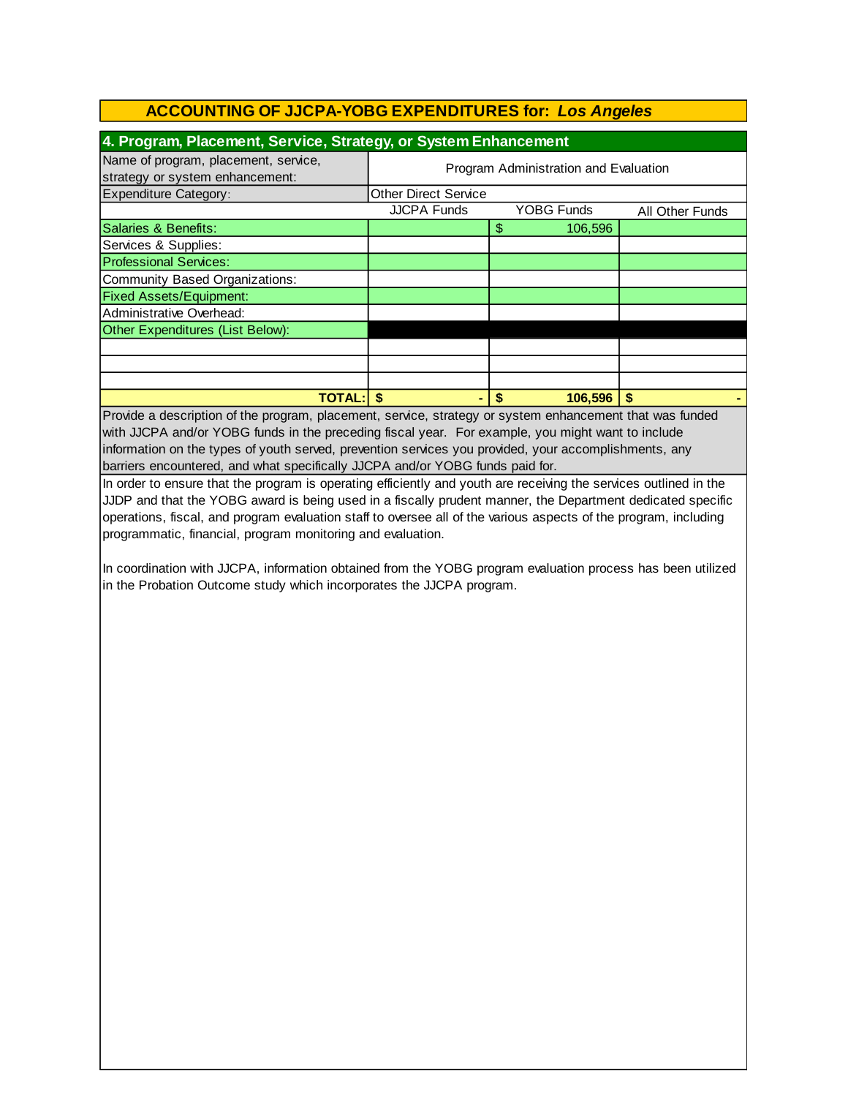| 4. Program, Placement, Service, Strategy, or System Enhancement         |                                       |                   |                 |  |  |
|-------------------------------------------------------------------------|---------------------------------------|-------------------|-----------------|--|--|
| Name of program, placement, service,<br>strategy or system enhancement: | Program Administration and Evaluation |                   |                 |  |  |
| <b>Expenditure Category:</b>                                            | <b>Other Direct Service</b>           |                   |                 |  |  |
|                                                                         | <b>JJCPA Funds</b>                    | <b>YOBG Funds</b> | All Other Funds |  |  |
| Salaries & Benefits:                                                    |                                       | \$<br>106,596     |                 |  |  |
| Services & Supplies:                                                    |                                       |                   |                 |  |  |
| <b>Professional Services:</b>                                           |                                       |                   |                 |  |  |
| <b>Community Based Organizations:</b>                                   |                                       |                   |                 |  |  |
| <b>Fixed Assets/Equipment:</b>                                          |                                       |                   |                 |  |  |
| Administrative Overhead:                                                |                                       |                   |                 |  |  |
| Other Expenditures (List Below):                                        |                                       |                   |                 |  |  |
|                                                                         |                                       |                   |                 |  |  |
|                                                                         |                                       |                   |                 |  |  |
|                                                                         |                                       |                   |                 |  |  |
| TOTAL: I                                                                |                                       | 106.596<br>S      |                 |  |  |

Provide a description of the program, placement, service, strategy or system enhancement that was funded with JJCPA and/or YOBG funds in the preceding fiscal year. For example, you might want to include information on the types of youth served, prevention services you provided, your accomplishments, any barriers encountered, and what specifically JJCPA and/or YOBG funds paid for.

In order to ensure that the program is operating efficiently and youth are receiving the services outlined in the JJDP and that the YOBG award is being used in a fiscally prudent manner, the Department dedicated specific operations, fiscal, and program evaluation staff to oversee all of the various aspects of the program, including programmatic, financial, program monitoring and evaluation.

In coordination with JJCPA, information obtained from the YOBG program evaluation process has been utilized in the Probation Outcome study which incorporates the JJCPA program.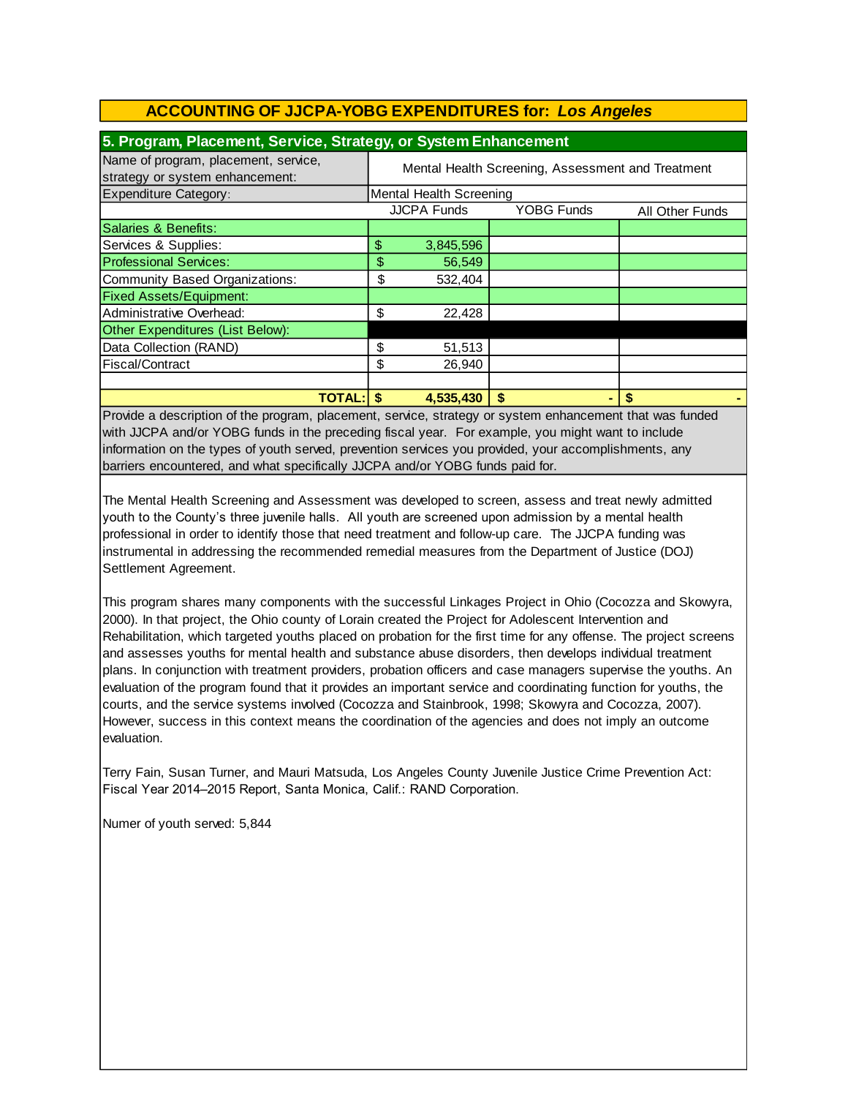| 5. Program, Placement, Service, Strategy, or System Enhancement         |                                                   |                    |                   |                 |  |
|-------------------------------------------------------------------------|---------------------------------------------------|--------------------|-------------------|-----------------|--|
| Name of program, placement, service,<br>strategy or system enhancement: | Mental Health Screening, Assessment and Treatment |                    |                   |                 |  |
| <b>Expenditure Category:</b>                                            | Mental Health Screening                           |                    |                   |                 |  |
|                                                                         |                                                   | <b>JJCPA Funds</b> | <b>YOBG Funds</b> | All Other Funds |  |
| Salaries & Benefits:                                                    |                                                   |                    |                   |                 |  |
| Services & Supplies:                                                    | \$                                                | 3,845,596          |                   |                 |  |
| <b>Professional Services:</b>                                           | \$                                                | 56,549             |                   |                 |  |
| Community Based Organizations:                                          | \$                                                | 532,404            |                   |                 |  |
| <b>Fixed Assets/Equipment:</b>                                          |                                                   |                    |                   |                 |  |
| Administrative Overhead:                                                | \$                                                | 22,428             |                   |                 |  |
| Other Expenditures (List Below):                                        |                                                   |                    |                   |                 |  |
| Data Collection (RAND)                                                  | \$                                                | 51,513             |                   |                 |  |
| Fiscal/Contract                                                         | \$                                                | 26.940             |                   |                 |  |
|                                                                         |                                                   |                    |                   |                 |  |
| <b>TOTAL: S</b>                                                         |                                                   | 4,535,430          | \$                | S               |  |

Provide a description of the program, placement, service, strategy or system enhancement that was funded with JJCPA and/or YOBG funds in the preceding fiscal year. For example, you might want to include information on the types of youth served, prevention services you provided, your accomplishments, any barriers encountered, and what specifically JJCPA and/or YOBG funds paid for.

The Mental Health Screening and Assessment was developed to screen, assess and treat newly admitted youth to the County's three juvenile halls. All youth are screened upon admission by a mental health professional in order to identify those that need treatment and follow-up care. The JJCPA funding was instrumental in addressing the recommended remedial measures from the Department of Justice (DOJ) Settlement Agreement.

This program shares many components with the successful Linkages Project in Ohio (Cocozza and Skowyra, 2000). In that project, the Ohio county of Lorain created the Project for Adolescent Intervention and Rehabilitation, which targeted youths placed on probation for the first time for any offense. The project screens and assesses youths for mental health and substance abuse disorders, then develops individual treatment plans. In conjunction with treatment providers, probation officers and case managers supervise the youths. An evaluation of the program found that it provides an important service and coordinating function for youths, the courts, and the service systems involved (Cocozza and Stainbrook, 1998; Skowyra and Cocozza, 2007). However, success in this context means the coordination of the agencies and does not imply an outcome evaluation.

Terry Fain, Susan Turner, and Mauri Matsuda, Los Angeles County Juvenile Justice Crime Prevention Act: Fiscal Year 2014–2015 Report, Santa Monica, Calif.: RAND Corporation.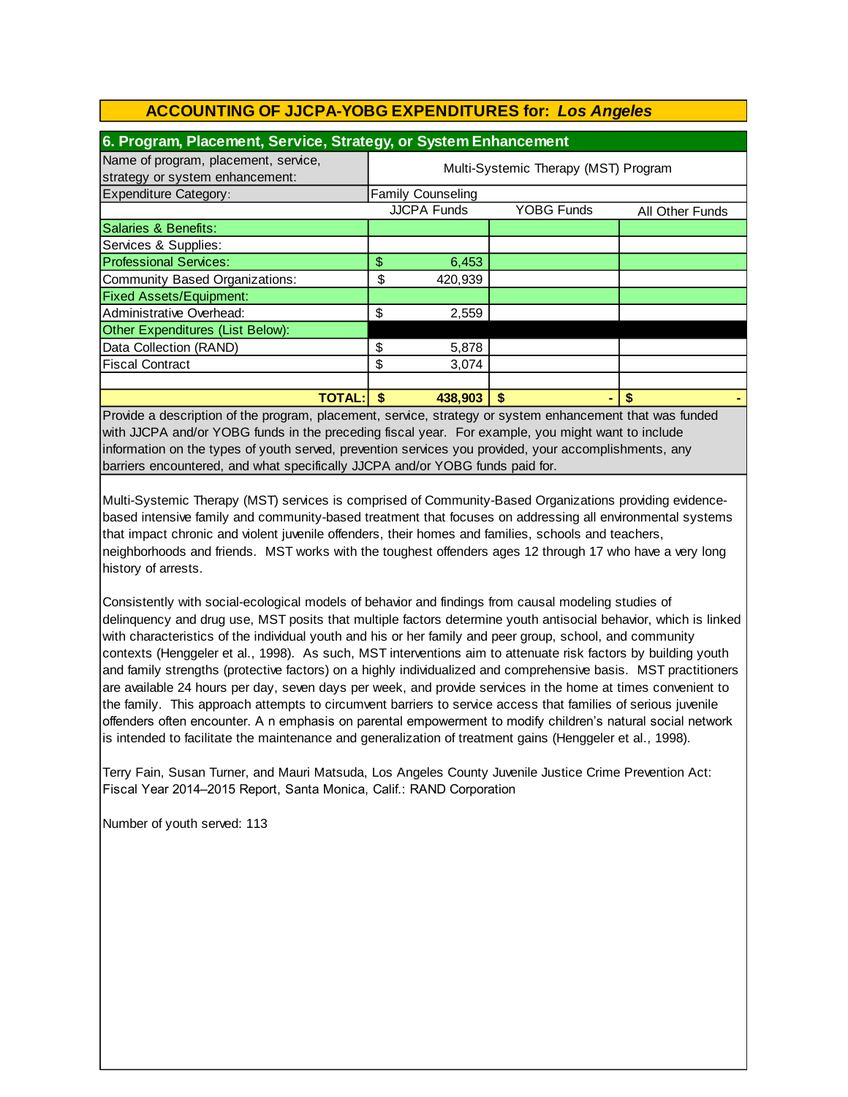| 6. Program, Placement, Service, Strategy, or System Enhancement         |                                      |                          |                   |                 |  |
|-------------------------------------------------------------------------|--------------------------------------|--------------------------|-------------------|-----------------|--|
| Name of program, placement, service,<br>strategy or system enhancement: | Multi-Systemic Therapy (MST) Program |                          |                   |                 |  |
| <b>Expenditure Category:</b>                                            |                                      | <b>Family Counseling</b> |                   |                 |  |
|                                                                         |                                      | <b>JJCPA Funds</b>       | <b>YOBG Funds</b> | All Other Funds |  |
| Salaries & Benefits:                                                    |                                      |                          |                   |                 |  |
| Services & Supplies:                                                    |                                      |                          |                   |                 |  |
| <b>Professional Services:</b>                                           | \$                                   | 6,453                    |                   |                 |  |
| Community Based Organizations:                                          | \$                                   | 420,939                  |                   |                 |  |
| <b>Fixed Assets/Equipment:</b>                                          |                                      |                          |                   |                 |  |
| Administrative Overhead:                                                | \$                                   | 2,559                    |                   |                 |  |
| Other Expenditures (List Below):                                        |                                      |                          |                   |                 |  |
| Data Collection (RAND)                                                  | \$                                   | 5,878                    |                   |                 |  |
| <b>Fiscal Contract</b>                                                  | \$                                   | 3,074                    |                   |                 |  |
|                                                                         |                                      |                          |                   |                 |  |
| <b>TOTAL:</b>                                                           | S                                    | 438,903                  | \$                | S               |  |

Provide a description of the program, placement, service, strategy or system enhancement that was funded with JJCPA and/or YOBG funds in the preceding fiscal year. For example, you might want to include information on the types of youth served, prevention services you provided, your accomplishments, any barriers encountered, and what specifically JJCPA and/or YOBG funds paid for.

Multi-Systemic Therapy (MST) services is comprised of Community-Based Organizations providing evidencebased intensive family and community-based treatment that focuses on addressing all environmental systems that impact chronic and violent juvenile offenders, their homes and families, schools and teachers, neighborhoods and friends. MST works with the toughest offenders ages 12 through 17 who have a very long history of arrests.

Consistently with social-ecological models of behavior and findings from causal modeling studies of delinquency and drug use, MST posits that multiple factors determine youth antisocial behavior, which is linked with characteristics of the individual youth and his or her family and peer group, school, and community contexts (Henggeler et al., 1998). As such, MST interventions aim to attenuate risk factors by building youth and family strengths (protective factors) on a highly individualized and comprehensive basis. MST practitioners are available 24 hours per day, seven days per week, and provide services in the home at times convenient to the family. This approach attempts to circumvent barriers to service access that families of serious juvenile offenders often encounter. A n emphasis on parental empowerment to modify children's natural social network is intended to facilitate the maintenance and generalization of treatment gains (Henggeler et al., 1998).

Terry Fain, Susan Turner, and Mauri Matsuda, Los Angeles County Juvenile Justice Crime Prevention Act: Fiscal Year 2014–2015 Report, Santa Monica, Calif.: RAND Corporation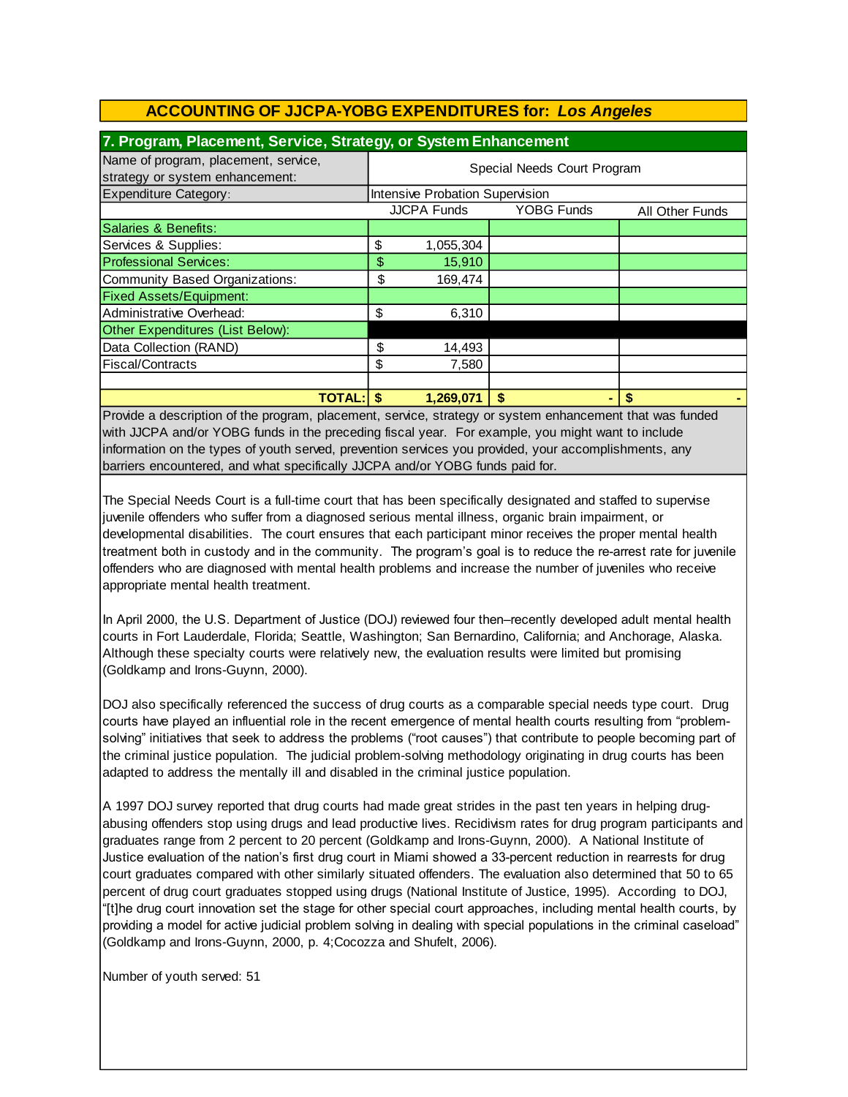| 7. Program, Placement, Service, Strategy, or System Enhancement         |                             |                                        |                   |                 |  |  |
|-------------------------------------------------------------------------|-----------------------------|----------------------------------------|-------------------|-----------------|--|--|
| Name of program, placement, service,<br>strategy or system enhancement: | Special Needs Court Program |                                        |                   |                 |  |  |
| <b>Expenditure Category:</b>                                            |                             | <b>Intensive Probation Supervision</b> |                   |                 |  |  |
|                                                                         |                             | <b>JJCPA Funds</b>                     | <b>YOBG Funds</b> | All Other Funds |  |  |
| Salaries & Benefits:                                                    |                             |                                        |                   |                 |  |  |
| Services & Supplies:                                                    | \$                          | 1,055,304                              |                   |                 |  |  |
| <b>Professional Services:</b>                                           | \$                          | 15,910                                 |                   |                 |  |  |
| Community Based Organizations:                                          | \$                          | 169.474                                |                   |                 |  |  |
| <b>Fixed Assets/Equipment:</b>                                          |                             |                                        |                   |                 |  |  |
| Administrative Overhead:                                                | \$                          | 6,310                                  |                   |                 |  |  |
| Other Expenditures (List Below):                                        |                             |                                        |                   |                 |  |  |
| Data Collection (RAND)                                                  | \$                          | 14,493                                 |                   |                 |  |  |
| Fiscal/Contracts                                                        | \$                          | 7,580                                  |                   |                 |  |  |
|                                                                         |                             |                                        |                   |                 |  |  |
| <b>TOTAL: S</b>                                                         |                             | 1,269,071                              | \$                | S               |  |  |

Provide a description of the program, placement, service, strategy or system enhancement that was funded with JJCPA and/or YOBG funds in the preceding fiscal year. For example, you might want to include information on the types of youth served, prevention services you provided, your accomplishments, any barriers encountered, and what specifically JJCPA and/or YOBG funds paid for.

The Special Needs Court is a full-time court that has been specifically designated and staffed to supervise juvenile offenders who suffer from a diagnosed serious mental illness, organic brain impairment, or developmental disabilities. The court ensures that each participant minor receives the proper mental health treatment both in custody and in the community. The program's goal is to reduce the re-arrest rate for juvenile offenders who are diagnosed with mental health problems and increase the number of juveniles who receive appropriate mental health treatment.

In April 2000, the U.S. Department of Justice (DOJ) reviewed four then–recently developed adult mental health courts in Fort Lauderdale, Florida; Seattle, Washington; San Bernardino, California; and Anchorage, Alaska. Although these specialty courts were relatively new, the evaluation results were limited but promising (Goldkamp and Irons-Guynn, 2000).

DOJ also specifically referenced the success of drug courts as a comparable special needs type court. Drug courts have played an influential role in the recent emergence of mental health courts resulting from "problemsolving" initiatives that seek to address the problems ("root causes") that contribute to people becoming part of the criminal justice population. The judicial problem-solving methodology originating in drug courts has been adapted to address the mentally ill and disabled in the criminal justice population.

A 1997 DOJ survey reported that drug courts had made great strides in the past ten years in helping drugabusing offenders stop using drugs and lead productive lives. Recidivism rates for drug program participants and graduates range from 2 percent to 20 percent (Goldkamp and Irons-Guynn, 2000). A National Institute of Justice evaluation of the nation's first drug court in Miami showed a 33-percent reduction in rearrests for drug court graduates compared with other similarly situated offenders. The evaluation also determined that 50 to 65 percent of drug court graduates stopped using drugs (National Institute of Justice, 1995). According to DOJ, "[t]he drug court innovation set the stage for other special court approaches, including mental health courts, by providing a model for active judicial problem solving in dealing with special populations in the criminal caseload" (Goldkamp and Irons-Guynn, 2000, p. 4;Cocozza and Shufelt, 2006).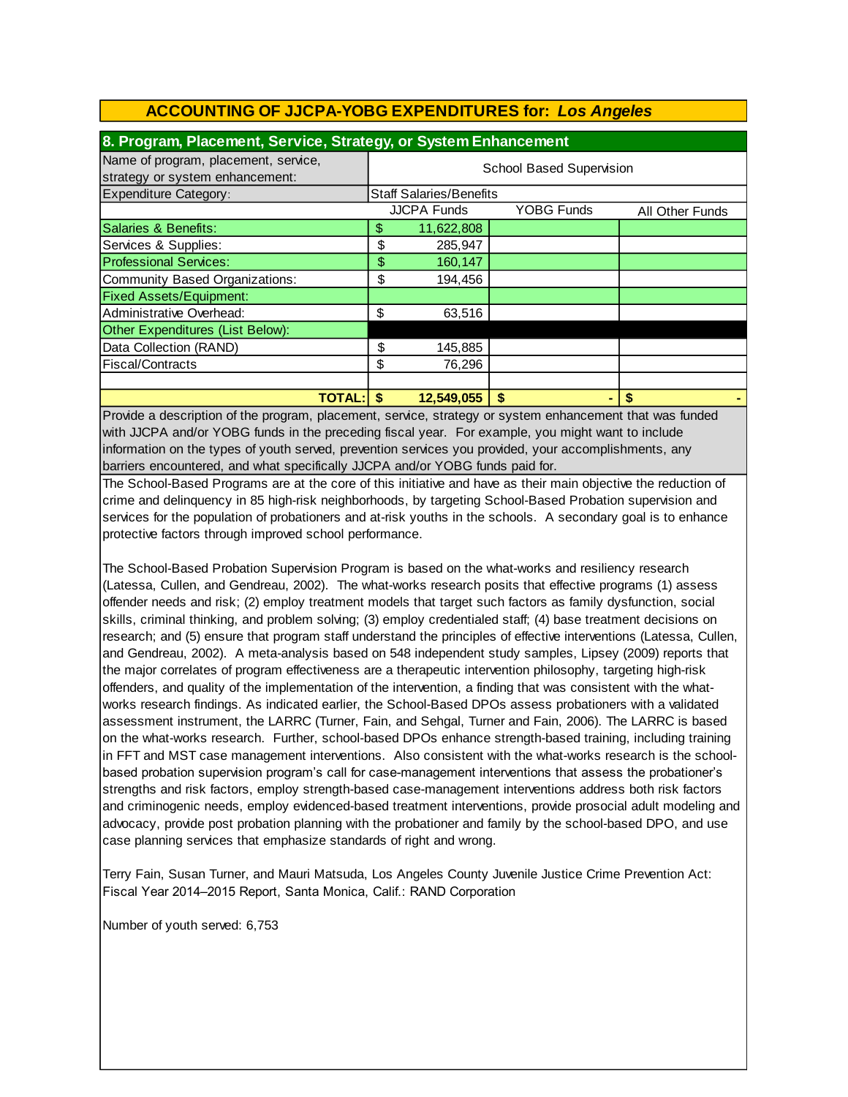| 8. Program, Placement, Service, Strategy, or System Enhancement         |                                                            |                                |    |  |  |  |
|-------------------------------------------------------------------------|------------------------------------------------------------|--------------------------------|----|--|--|--|
| Name of program, placement, service,<br>strategy or system enhancement: | <b>School Based Supervision</b>                            |                                |    |  |  |  |
| <b>Expenditure Category:</b>                                            |                                                            | <b>Staff Salaries/Benefits</b> |    |  |  |  |
|                                                                         | <b>JJCPA Funds</b><br><b>YOBG Funds</b><br>All Other Funds |                                |    |  |  |  |
| Salaries & Benefits:                                                    | \$                                                         | 11,622,808                     |    |  |  |  |
| Services & Supplies:                                                    | \$                                                         | 285,947                        |    |  |  |  |
| <b>Professional Services:</b>                                           | \$                                                         | 160,147                        |    |  |  |  |
| Community Based Organizations:                                          | \$                                                         | 194,456                        |    |  |  |  |
| <b>Fixed Assets/Equipment:</b>                                          |                                                            |                                |    |  |  |  |
| Administrative Overhead:                                                | \$                                                         | 63,516                         |    |  |  |  |
| Other Expenditures (List Below):                                        |                                                            |                                |    |  |  |  |
| Data Collection (RAND)                                                  | \$                                                         | 145,885                        |    |  |  |  |
| Fiscal/Contracts                                                        | \$                                                         | 76,296                         |    |  |  |  |
|                                                                         |                                                            |                                |    |  |  |  |
| <b>TOTAL:</b>                                                           |                                                            | 12,549,055                     | \$ |  |  |  |

Provide a description of the program, placement, service, strategy or system enhancement that was funded with JJCPA and/or YOBG funds in the preceding fiscal year. For example, you might want to include information on the types of youth served, prevention services you provided, your accomplishments, any barriers encountered, and what specifically JJCPA and/or YOBG funds paid for.

The School-Based Programs are at the core of this initiative and have as their main objective the reduction of crime and delinquency in 85 high-risk neighborhoods, by targeting School-Based Probation supervision and services for the population of probationers and at-risk youths in the schools. A secondary goal is to enhance protective factors through improved school performance.

The School-Based Probation Supervision Program is based on the what-works and resiliency research (Latessa, Cullen, and Gendreau, 2002). The what-works research posits that effective programs (1) assess offender needs and risk; (2) employ treatment models that target such factors as family dysfunction, social skills, criminal thinking, and problem solving; (3) employ credentialed staff; (4) base treatment decisions on research; and (5) ensure that program staff understand the principles of effective interventions (Latessa, Cullen, and Gendreau, 2002). A meta-analysis based on 548 independent study samples, Lipsey (2009) reports that the major correlates of program effectiveness are a therapeutic intervention philosophy, targeting high-risk offenders, and quality of the implementation of the intervention, a finding that was consistent with the whatworks research findings. As indicated earlier, the School-Based DPOs assess probationers with a validated assessment instrument, the LARRC (Turner, Fain, and Sehgal, Turner and Fain, 2006). The LARRC is based on the what-works research. Further, school-based DPOs enhance strength-based training, including training in FFT and MST case management interventions. Also consistent with the what-works research is the schoolbased probation supervision program's call for case-management interventions that assess the probationer's strengths and risk factors, employ strength-based case-management interventions address both risk factors and criminogenic needs, employ evidenced-based treatment interventions, provide prosocial adult modeling and advocacy, provide post probation planning with the probationer and family by the school-based DPO, and use case planning services that emphasize standards of right and wrong.

Terry Fain, Susan Turner, and Mauri Matsuda, Los Angeles County Juvenile Justice Crime Prevention Act: Fiscal Year 2014–2015 Report, Santa Monica, Calif.: RAND Corporation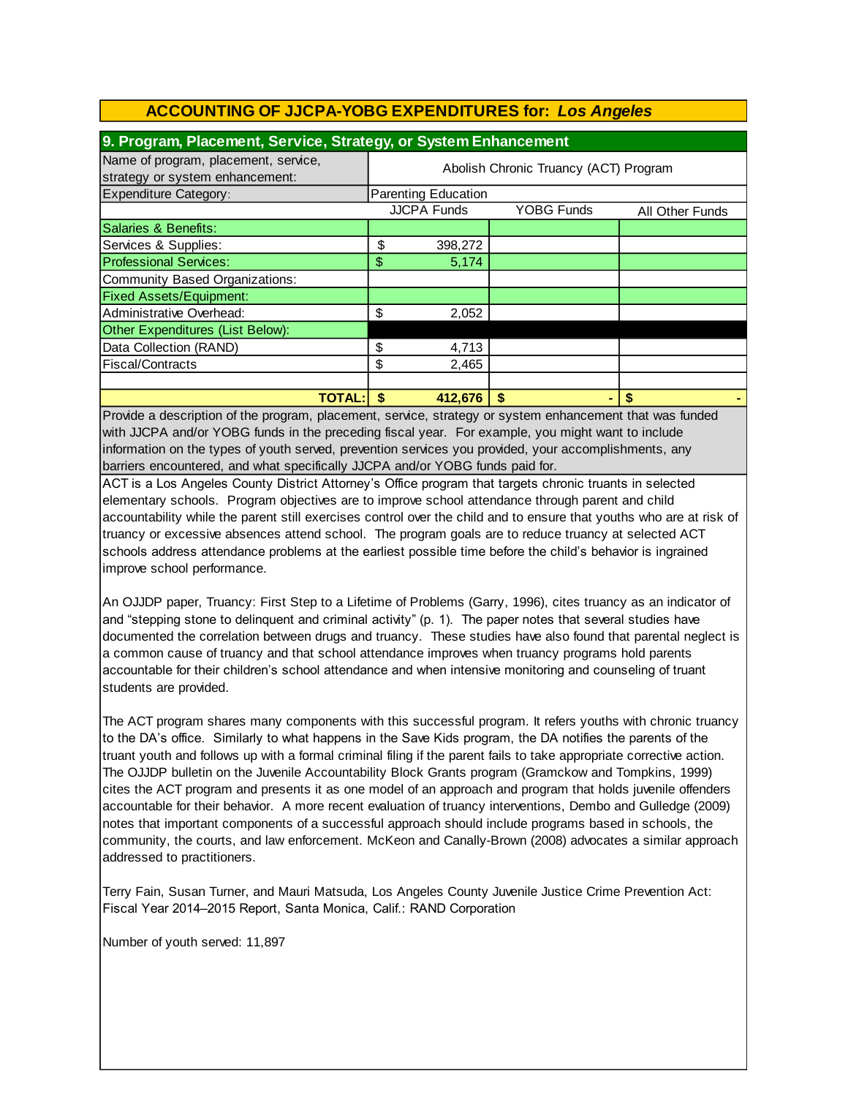| 9. Program, Placement, Service, Strategy, or System Enhancement         |                                       |                     |                   |                 |  |
|-------------------------------------------------------------------------|---------------------------------------|---------------------|-------------------|-----------------|--|
| Name of program, placement, service,<br>strategy or system enhancement: | Abolish Chronic Truancy (ACT) Program |                     |                   |                 |  |
| <b>Expenditure Category:</b>                                            |                                       | Parenting Education |                   |                 |  |
|                                                                         |                                       | <b>JJCPA Funds</b>  | <b>YOBG Funds</b> | All Other Funds |  |
| Salaries & Benefits:                                                    |                                       |                     |                   |                 |  |
| Services & Supplies:                                                    | \$                                    | 398,272             |                   |                 |  |
| <b>Professional Services:</b>                                           | \$                                    | 5,174               |                   |                 |  |
| Community Based Organizations:                                          |                                       |                     |                   |                 |  |
| <b>Fixed Assets/Equipment:</b>                                          |                                       |                     |                   |                 |  |
| Administrative Overhead:                                                | \$                                    | 2,052               |                   |                 |  |
| Other Expenditures (List Below):                                        |                                       |                     |                   |                 |  |
| Data Collection (RAND)                                                  | \$                                    | 4,713               |                   |                 |  |
| Fiscal/Contracts                                                        | \$                                    | 2,465               |                   |                 |  |
|                                                                         |                                       |                     |                   |                 |  |
| <b>TOTAL:</b>                                                           |                                       | 412.676             | S                 | S               |  |

Provide a description of the program, placement, service, strategy or system enhancement that was funded with JJCPA and/or YOBG funds in the preceding fiscal year. For example, you might want to include information on the types of youth served, prevention services you provided, your accomplishments, any barriers encountered, and what specifically JJCPA and/or YOBG funds paid for.

ACT is a Los Angeles County District Attorney's Office program that targets chronic truants in selected elementary schools. Program objectives are to improve school attendance through parent and child accountability while the parent still exercises control over the child and to ensure that youths who are at risk of truancy or excessive absences attend school. The program goals are to reduce truancy at selected ACT schools address attendance problems at the earliest possible time before the child's behavior is ingrained improve school performance.

An OJJDP paper, Truancy: First Step to a Lifetime of Problems (Garry, 1996), cites truancy as an indicator of and "stepping stone to delinquent and criminal activity" (p. 1). The paper notes that several studies have documented the correlation between drugs and truancy. These studies have also found that parental neglect is a common cause of truancy and that school attendance improves when truancy programs hold parents accountable for their children's school attendance and when intensive monitoring and counseling of truant students are provided.

The ACT program shares many components with this successful program. It refers youths with chronic truancy to the DA's office. Similarly to what happens in the Save Kids program, the DA notifies the parents of the truant youth and follows up with a formal criminal filing if the parent fails to take appropriate corrective action. The OJJDP bulletin on the Juvenile Accountability Block Grants program (Gramckow and Tompkins, 1999) cites the ACT program and presents it as one model of an approach and program that holds juvenile offenders accountable for their behavior. A more recent evaluation of truancy interventions, Dembo and Gulledge (2009) notes that important components of a successful approach should include programs based in schools, the community, the courts, and law enforcement. McKeon and Canally-Brown (2008) advocates a similar approach addressed to practitioners.

Terry Fain, Susan Turner, and Mauri Matsuda, Los Angeles County Juvenile Justice Crime Prevention Act: Fiscal Year 2014–2015 Report, Santa Monica, Calif.: RAND Corporation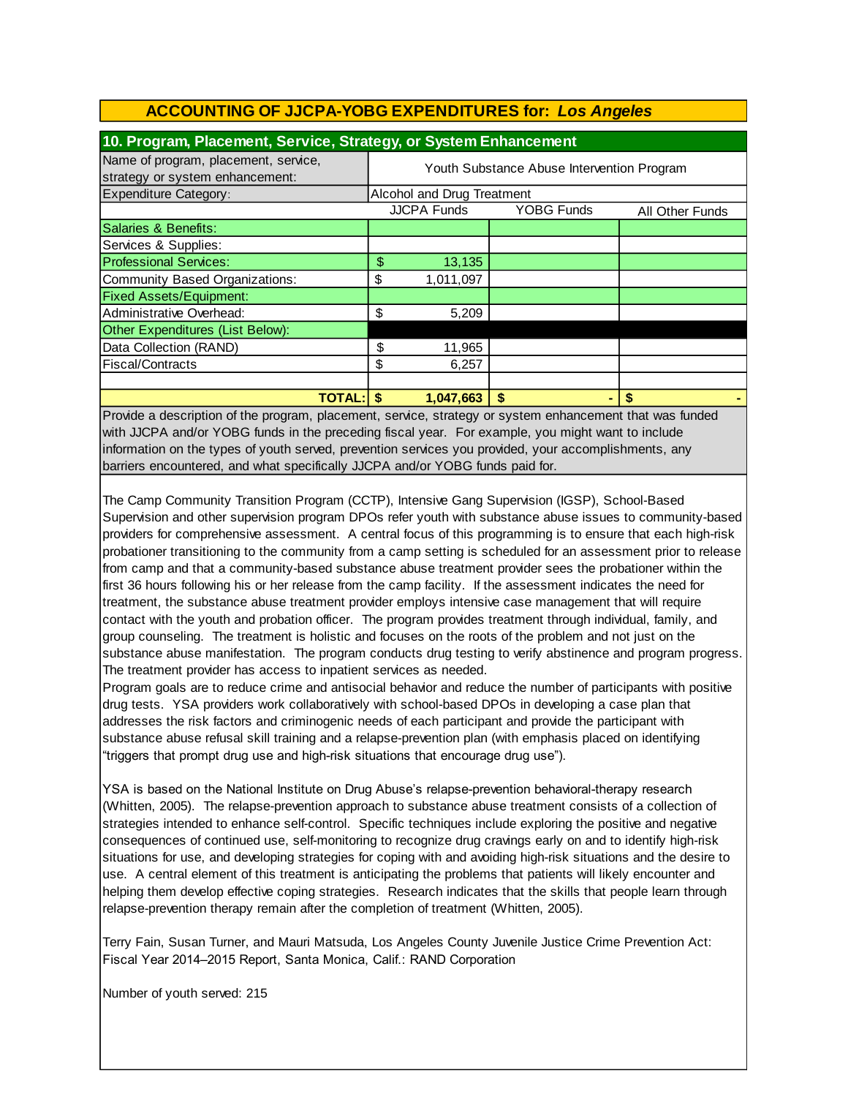| 10. Program, Placement, Service, Strategy, or System Enhancement        |                                            |                            |            |                 |  |
|-------------------------------------------------------------------------|--------------------------------------------|----------------------------|------------|-----------------|--|
| Name of program, placement, service,<br>strategy or system enhancement: | Youth Substance Abuse Intervention Program |                            |            |                 |  |
| <b>Expenditure Category:</b>                                            |                                            | Alcohol and Drug Treatment |            |                 |  |
|                                                                         |                                            | <b>JJCPA Funds</b>         | YOBG Funds | All Other Funds |  |
| Salaries & Benefits:                                                    |                                            |                            |            |                 |  |
| Services & Supplies:                                                    |                                            |                            |            |                 |  |
| <b>Professional Services:</b>                                           | \$                                         | 13,135                     |            |                 |  |
| Community Based Organizations:                                          | \$                                         | 1,011,097                  |            |                 |  |
| <b>Fixed Assets/Equipment:</b>                                          |                                            |                            |            |                 |  |
| Administrative Overhead:                                                | \$                                         | 5,209                      |            |                 |  |
| Other Expenditures (List Below):                                        |                                            |                            |            |                 |  |
| Data Collection (RAND)                                                  | \$                                         | 11,965                     |            |                 |  |
| Fiscal/Contracts                                                        | \$                                         | 6,257                      |            |                 |  |
|                                                                         |                                            |                            |            |                 |  |
| <b>TOTAL:</b>                                                           |                                            | 1,047,663                  | \$         |                 |  |

Provide a description of the program, placement, service, strategy or system enhancement that was funded with JJCPA and/or YOBG funds in the preceding fiscal year. For example, you might want to include information on the types of youth served, prevention services you provided, your accomplishments, any barriers encountered, and what specifically JJCPA and/or YOBG funds paid for.

The Camp Community Transition Program (CCTP), Intensive Gang Supervision (IGSP), School-Based Supervision and other supervision program DPOs refer youth with substance abuse issues to community-based providers for comprehensive assessment. A central focus of this programming is to ensure that each high-risk probationer transitioning to the community from a camp setting is scheduled for an assessment prior to release from camp and that a community-based substance abuse treatment provider sees the probationer within the first 36 hours following his or her release from the camp facility. If the assessment indicates the need for treatment, the substance abuse treatment provider employs intensive case management that will require contact with the youth and probation officer. The program provides treatment through individual, family, and group counseling. The treatment is holistic and focuses on the roots of the problem and not just on the substance abuse manifestation. The program conducts drug testing to verify abstinence and program progress. The treatment provider has access to inpatient services as needed.

Program goals are to reduce crime and antisocial behavior and reduce the number of participants with positive drug tests. YSA providers work collaboratively with school-based DPOs in developing a case plan that addresses the risk factors and criminogenic needs of each participant and provide the participant with substance abuse refusal skill training and a relapse-prevention plan (with emphasis placed on identifying "triggers that prompt drug use and high-risk situations that encourage drug use").

YSA is based on the National Institute on Drug Abuse's relapse-prevention behavioral-therapy research (Whitten, 2005). The relapse-prevention approach to substance abuse treatment consists of a collection of strategies intended to enhance self-control. Specific techniques include exploring the positive and negative consequences of continued use, self-monitoring to recognize drug cravings early on and to identify high-risk situations for use, and developing strategies for coping with and avoiding high-risk situations and the desire to use. A central element of this treatment is anticipating the problems that patients will likely encounter and helping them develop effective coping strategies. Research indicates that the skills that people learn through relapse-prevention therapy remain after the completion of treatment (Whitten, 2005).

Terry Fain, Susan Turner, and Mauri Matsuda, Los Angeles County Juvenile Justice Crime Prevention Act: Fiscal Year 2014–2015 Report, Santa Monica, Calif.: RAND Corporation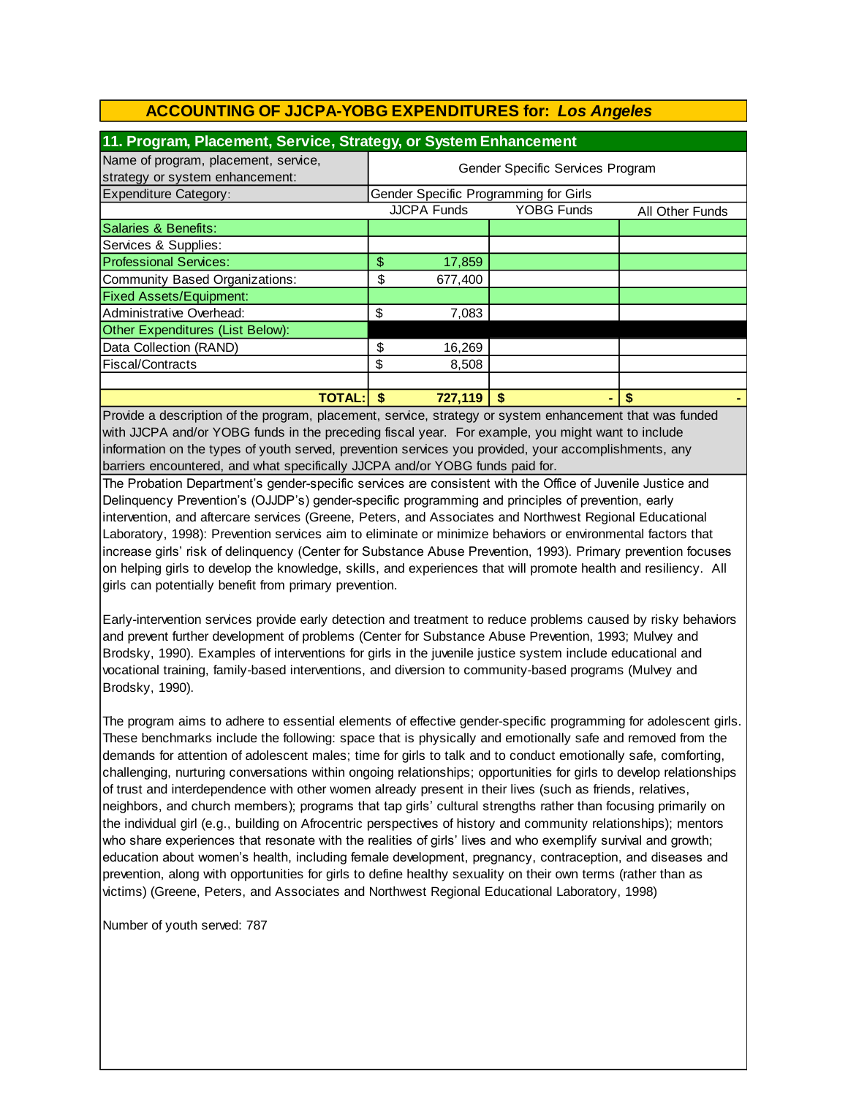| 11. Program, Placement, Service, Strategy, or System Enhancement        |    |                                  |                                       |                 |  |
|-------------------------------------------------------------------------|----|----------------------------------|---------------------------------------|-----------------|--|
| Name of program, placement, service,<br>strategy or system enhancement: |    | Gender Specific Services Program |                                       |                 |  |
| <b>Expenditure Category:</b>                                            |    |                                  | Gender Specific Programming for Girls |                 |  |
|                                                                         |    | <b>JJCPA Funds</b>               | <b>YOBG Funds</b>                     | All Other Funds |  |
| Salaries & Benefits:                                                    |    |                                  |                                       |                 |  |
| Services & Supplies:                                                    |    |                                  |                                       |                 |  |
| <b>Professional Services:</b>                                           | \$ | 17,859                           |                                       |                 |  |
| Community Based Organizations:                                          | \$ | 677,400                          |                                       |                 |  |
| <b>Fixed Assets/Equipment:</b>                                          |    |                                  |                                       |                 |  |
| Administrative Overhead:                                                | \$ | 7,083                            |                                       |                 |  |
| Other Expenditures (List Below):                                        |    |                                  |                                       |                 |  |
| Data Collection (RAND)                                                  | \$ | 16,269                           |                                       |                 |  |
| Fiscal/Contracts                                                        | \$ | 8,508                            |                                       |                 |  |
|                                                                         |    |                                  |                                       |                 |  |
| TOTAL: I                                                                |    | 727,119                          | S                                     |                 |  |

Provide a description of the program, placement, service, strategy or system enhancement that was funded with JJCPA and/or YOBG funds in the preceding fiscal year. For example, you might want to include information on the types of youth served, prevention services you provided, your accomplishments, any barriers encountered, and what specifically JJCPA and/or YOBG funds paid for.

The Probation Department's gender-specific services are consistent with the Office of Juvenile Justice and Delinquency Prevention's (OJJDP's) gender-specific programming and principles of prevention, early intervention, and aftercare services (Greene, Peters, and Associates and Northwest Regional Educational Laboratory, 1998): Prevention services aim to eliminate or minimize behaviors or environmental factors that increase girls' risk of delinquency (Center for Substance Abuse Prevention, 1993). Primary prevention focuses on helping girls to develop the knowledge, skills, and experiences that will promote health and resiliency. All girls can potentially benefit from primary prevention.

Early-intervention services provide early detection and treatment to reduce problems caused by risky behaviors and prevent further development of problems (Center for Substance Abuse Prevention, 1993; Mulvey and Brodsky, 1990). Examples of interventions for girls in the juvenile justice system include educational and vocational training, family-based interventions, and diversion to community-based programs (Mulvey and Brodsky, 1990).

The program aims to adhere to essential elements of effective gender-specific programming for adolescent girls. These benchmarks include the following: space that is physically and emotionally safe and removed from the demands for attention of adolescent males; time for girls to talk and to conduct emotionally safe, comforting, challenging, nurturing conversations within ongoing relationships; opportunities for girls to develop relationships of trust and interdependence with other women already present in their lives (such as friends, relatives, neighbors, and church members); programs that tap girls' cultural strengths rather than focusing primarily on the individual girl (e.g., building on Afrocentric perspectives of history and community relationships); mentors who share experiences that resonate with the realities of girls' lives and who exemplify survival and growth; education about women's health, including female development, pregnancy, contraception, and diseases and prevention, along with opportunities for girls to define healthy sexuality on their own terms (rather than as victims) (Greene, Peters, and Associates and Northwest Regional Educational Laboratory, 1998)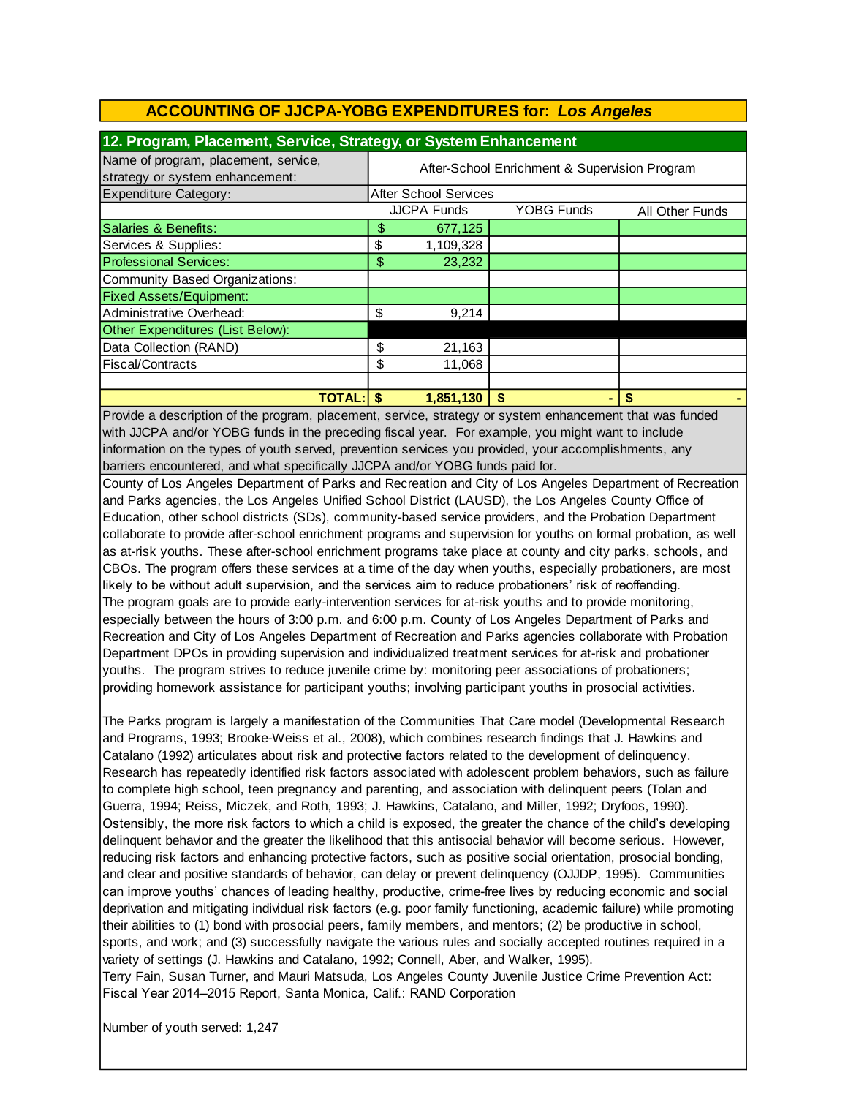| 12. Program, Placement, Service, Strategy, or System Enhancement        |    |                                               |                   |                 |  |  |
|-------------------------------------------------------------------------|----|-----------------------------------------------|-------------------|-----------------|--|--|
| Name of program, placement, service,<br>strategy or system enhancement: |    | After-School Enrichment & Supervision Program |                   |                 |  |  |
| <b>Expenditure Category:</b>                                            |    | <b>After School Services</b>                  |                   |                 |  |  |
|                                                                         |    | <b>JJCPA Funds</b>                            | <b>YOBG Funds</b> | All Other Funds |  |  |
| Salaries & Benefits:                                                    | \$ | 677,125                                       |                   |                 |  |  |
| Services & Supplies:                                                    | \$ | 1,109,328                                     |                   |                 |  |  |
| <b>Professional Services:</b>                                           | \$ | 23,232                                        |                   |                 |  |  |
| Community Based Organizations:                                          |    |                                               |                   |                 |  |  |
| <b>Fixed Assets/Equipment:</b>                                          |    |                                               |                   |                 |  |  |
| Administrative Overhead:                                                | \$ | 9,214                                         |                   |                 |  |  |
| Other Expenditures (List Below):                                        |    |                                               |                   |                 |  |  |
| Data Collection (RAND)                                                  | \$ | 21,163                                        |                   |                 |  |  |
| Fiscal/Contracts                                                        | \$ | 11,068                                        |                   |                 |  |  |
|                                                                         |    |                                               |                   |                 |  |  |
| <b>TOTAL: S</b>                                                         |    | 1,851,130                                     | \$                |                 |  |  |

Provide a description of the program, placement, service, strategy or system enhancement that was funded with JJCPA and/or YOBG funds in the preceding fiscal year. For example, you might want to include information on the types of youth served, prevention services you provided, your accomplishments, any barriers encountered, and what specifically JJCPA and/or YOBG funds paid for.

County of Los Angeles Department of Parks and Recreation and City of Los Angeles Department of Recreation and Parks agencies, the Los Angeles Unified School District (LAUSD), the Los Angeles County Office of Education, other school districts (SDs), community-based service providers, and the Probation Department collaborate to provide after-school enrichment programs and supervision for youths on formal probation, as well as at-risk youths. These after-school enrichment programs take place at county and city parks, schools, and CBOs. The program offers these services at a time of the day when youths, especially probationers, are most likely to be without adult supervision, and the services aim to reduce probationers' risk of reoffending. The program goals are to provide early-intervention services for at-risk youths and to provide monitoring, especially between the hours of 3:00 p.m. and 6:00 p.m. County of Los Angeles Department of Parks and Recreation and City of Los Angeles Department of Recreation and Parks agencies collaborate with Probation Department DPOs in providing supervision and individualized treatment services for at-risk and probationer youths. The program strives to reduce juvenile crime by: monitoring peer associations of probationers; providing homework assistance for participant youths; involving participant youths in prosocial activities.

The Parks program is largely a manifestation of the Communities That Care model (Developmental Research and Programs, 1993; Brooke-Weiss et al., 2008), which combines research findings that J. Hawkins and Catalano (1992) articulates about risk and protective factors related to the development of delinquency. Research has repeatedly identified risk factors associated with adolescent problem behaviors, such as failure to complete high school, teen pregnancy and parenting, and association with delinquent peers (Tolan and Guerra, 1994; Reiss, Miczek, and Roth, 1993; J. Hawkins, Catalano, and Miller, 1992; Dryfoos, 1990). Ostensibly, the more risk factors to which a child is exposed, the greater the chance of the child's developing delinquent behavior and the greater the likelihood that this antisocial behavior will become serious. However, reducing risk factors and enhancing protective factors, such as positive social orientation, prosocial bonding, and clear and positive standards of behavior, can delay or prevent delinquency (OJJDP, 1995). Communities can improve youths' chances of leading healthy, productive, crime-free lives by reducing economic and social deprivation and mitigating individual risk factors (e.g. poor family functioning, academic failure) while promoting their abilities to (1) bond with prosocial peers, family members, and mentors; (2) be productive in school, sports, and work; and (3) successfully navigate the various rules and socially accepted routines required in a variety of settings (J. Hawkins and Catalano, 1992; Connell, Aber, and Walker, 1995). Terry Fain, Susan Turner, and Mauri Matsuda, Los Angeles County Juvenile Justice Crime Prevention Act: Fiscal Year 2014–2015 Report, Santa Monica, Calif.: RAND Corporation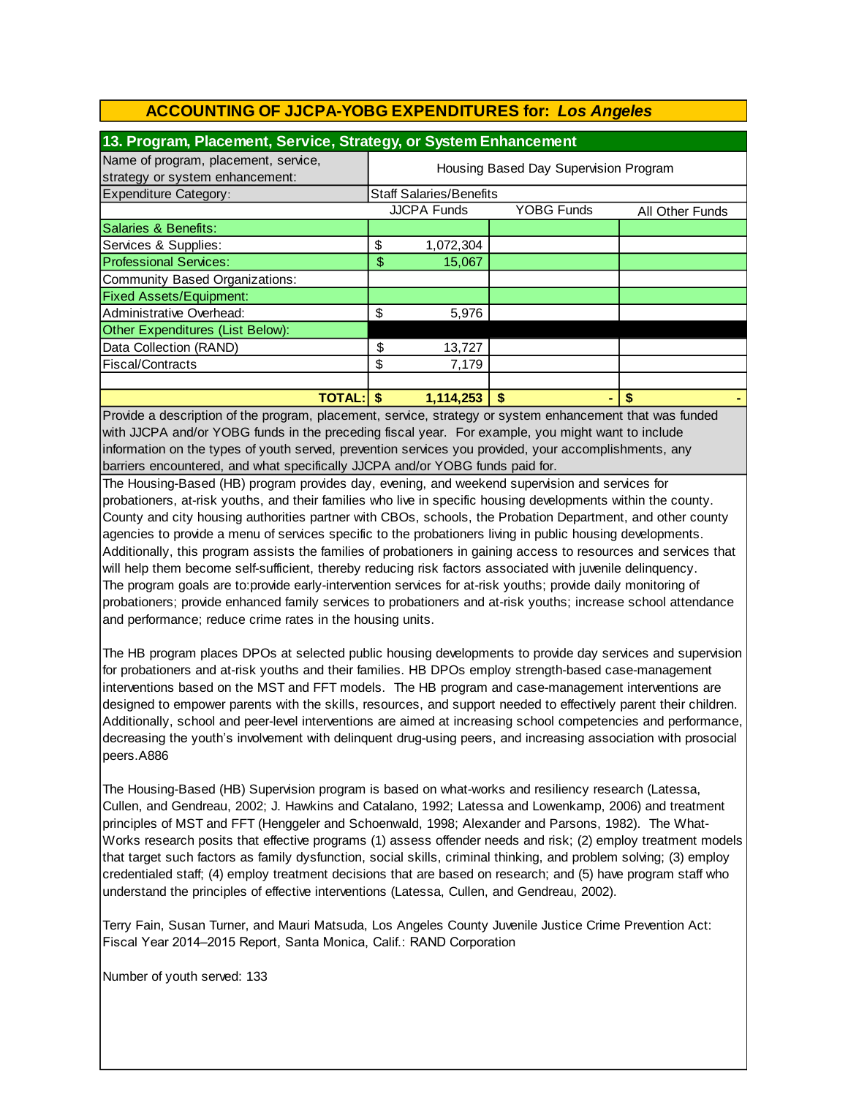| 13. Program, Placement, Service, Strategy, or System Enhancement        |                                                            |           |    |   |  |  |
|-------------------------------------------------------------------------|------------------------------------------------------------|-----------|----|---|--|--|
| Name of program, placement, service,<br>strategy or system enhancement: | Housing Based Day Supervision Program                      |           |    |   |  |  |
| <b>Expenditure Category:</b>                                            | <b>Staff Salaries/Benefits</b>                             |           |    |   |  |  |
|                                                                         | <b>JJCPA Funds</b><br><b>YOBG Funds</b><br>All Other Funds |           |    |   |  |  |
| Salaries & Benefits:                                                    |                                                            |           |    |   |  |  |
| Services & Supplies:                                                    | \$                                                         | 1,072,304 |    |   |  |  |
| <b>Professional Services:</b>                                           | \$                                                         | 15,067    |    |   |  |  |
| Community Based Organizations:                                          |                                                            |           |    |   |  |  |
| <b>Fixed Assets/Equipment:</b>                                          |                                                            |           |    |   |  |  |
| Administrative Overhead:                                                | \$                                                         | 5,976     |    |   |  |  |
| Other Expenditures (List Below):                                        |                                                            |           |    |   |  |  |
| Data Collection (RAND)                                                  | \$                                                         | 13,727    |    |   |  |  |
| Fiscal/Contracts                                                        | \$                                                         | 7,179     |    |   |  |  |
|                                                                         |                                                            |           |    |   |  |  |
| <b>TOTAL:IS</b>                                                         |                                                            | 1,114,253 | \$ | S |  |  |

Provide a description of the program, placement, service, strategy or system enhancement that was funded with JJCPA and/or YOBG funds in the preceding fiscal year. For example, you might want to include information on the types of youth served, prevention services you provided, your accomplishments, any barriers encountered, and what specifically JJCPA and/or YOBG funds paid for.

The Housing-Based (HB) program provides day, evening, and weekend supervision and services for probationers, at-risk youths, and their families who live in specific housing developments within the county. County and city housing authorities partner with CBOs, schools, the Probation Department, and other county agencies to provide a menu of services specific to the probationers living in public housing developments. Additionally, this program assists the families of probationers in gaining access to resources and services that will help them become self-sufficient, thereby reducing risk factors associated with juvenile delinquency. The program goals are to:provide early-intervention services for at-risk youths; provide daily monitoring of probationers; provide enhanced family services to probationers and at-risk youths; increase school attendance and performance; reduce crime rates in the housing units.

The HB program places DPOs at selected public housing developments to provide day services and supervision for probationers and at-risk youths and their families. HB DPOs employ strength-based case-management interventions based on the MST and FFT models. The HB program and case-management interventions are designed to empower parents with the skills, resources, and support needed to effectively parent their children. Additionally, school and peer-level interventions are aimed at increasing school competencies and performance, decreasing the youth's involvement with delinquent drug-using peers, and increasing association with prosocial peers.A886

The Housing-Based (HB) Supervision program is based on what-works and resiliency research (Latessa, Cullen, and Gendreau, 2002; J. Hawkins and Catalano, 1992; Latessa and Lowenkamp, 2006) and treatment principles of MST and FFT (Henggeler and Schoenwald, 1998; Alexander and Parsons, 1982). The What-Works research posits that effective programs (1) assess offender needs and risk; (2) employ treatment models that target such factors as family dysfunction, social skills, criminal thinking, and problem solving; (3) employ credentialed staff; (4) employ treatment decisions that are based on research; and (5) have program staff who understand the principles of effective interventions (Latessa, Cullen, and Gendreau, 2002).

Terry Fain, Susan Turner, and Mauri Matsuda, Los Angeles County Juvenile Justice Crime Prevention Act: Fiscal Year 2014–2015 Report, Santa Monica, Calif.: RAND Corporation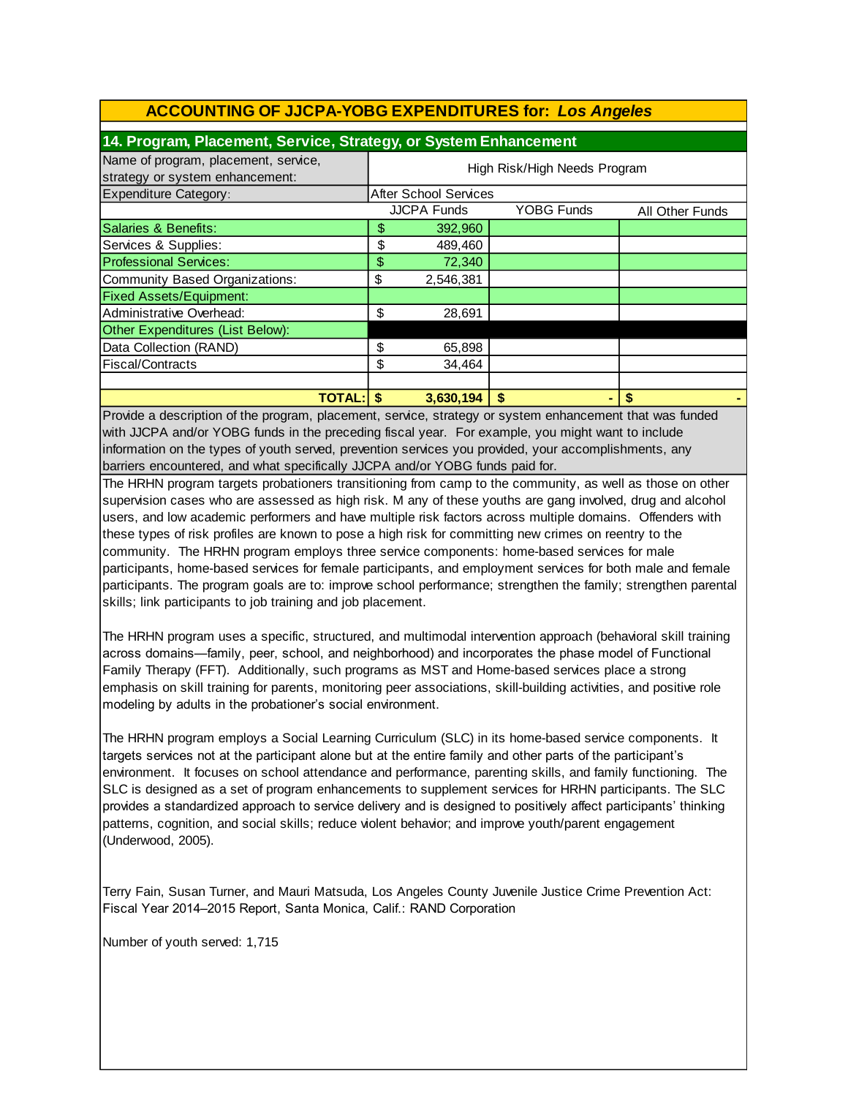| 14. Program, Placement, Service, Strategy, or System Enhancement        |                                                            |                       |    |  |  |  |
|-------------------------------------------------------------------------|------------------------------------------------------------|-----------------------|----|--|--|--|
| Name of program, placement, service,<br>strategy or system enhancement: | High Risk/High Needs Program                               |                       |    |  |  |  |
| <b>Expenditure Category:</b>                                            |                                                            | After School Services |    |  |  |  |
|                                                                         | <b>JJCPA Funds</b><br><b>YOBG Funds</b><br>All Other Funds |                       |    |  |  |  |
| Salaries & Benefits:                                                    | \$                                                         | 392,960               |    |  |  |  |
| Services & Supplies:                                                    | \$                                                         | 489,460               |    |  |  |  |
| <b>Professional Services:</b>                                           | \$                                                         | 72,340                |    |  |  |  |
| Community Based Organizations:                                          | \$                                                         | 2,546,381             |    |  |  |  |
| <b>Fixed Assets/Equipment:</b>                                          |                                                            |                       |    |  |  |  |
| Administrative Overhead:                                                | \$                                                         | 28,691                |    |  |  |  |
| Other Expenditures (List Below):                                        |                                                            |                       |    |  |  |  |
| Data Collection (RAND)                                                  | \$                                                         | 65,898                |    |  |  |  |
| Fiscal/Contracts                                                        | \$                                                         | 34,464                |    |  |  |  |
|                                                                         |                                                            |                       |    |  |  |  |
| <b>TOTAL: S</b>                                                         |                                                            | 3,630,194             | \$ |  |  |  |

Provide a description of the program, placement, service, strategy or system enhancement that was funded with JJCPA and/or YOBG funds in the preceding fiscal year. For example, you might want to include information on the types of youth served, prevention services you provided, your accomplishments, any barriers encountered, and what specifically JJCPA and/or YOBG funds paid for.

The HRHN program targets probationers transitioning from camp to the community, as well as those on other supervision cases who are assessed as high risk. M any of these youths are gang involved, drug and alcohol users, and low academic performers and have multiple risk factors across multiple domains. Offenders with these types of risk profiles are known to pose a high risk for committing new crimes on reentry to the community. The HRHN program employs three service components: home-based services for male participants, home-based services for female participants, and employment services for both male and female participants. The program goals are to: improve school performance; strengthen the family; strengthen parental skills; link participants to job training and job placement.

The HRHN program uses a specific, structured, and multimodal intervention approach (behavioral skill training across domains—family, peer, school, and neighborhood) and incorporates the phase model of Functional Family Therapy (FFT). Additionally, such programs as MST and Home-based services place a strong emphasis on skill training for parents, monitoring peer associations, skill-building activities, and positive role modeling by adults in the probationer's social environment.

The HRHN program employs a Social Learning Curriculum (SLC) in its home-based service components. It targets services not at the participant alone but at the entire family and other parts of the participant's environment. It focuses on school attendance and performance, parenting skills, and family functioning. The SLC is designed as a set of program enhancements to supplement services for HRHN participants. The SLC provides a standardized approach to service delivery and is designed to positively affect participants' thinking patterns, cognition, and social skills; reduce violent behavior; and improve youth/parent engagement (Underwood, 2005).

Terry Fain, Susan Turner, and Mauri Matsuda, Los Angeles County Juvenile Justice Crime Prevention Act: Fiscal Year 2014–2015 Report, Santa Monica, Calif.: RAND Corporation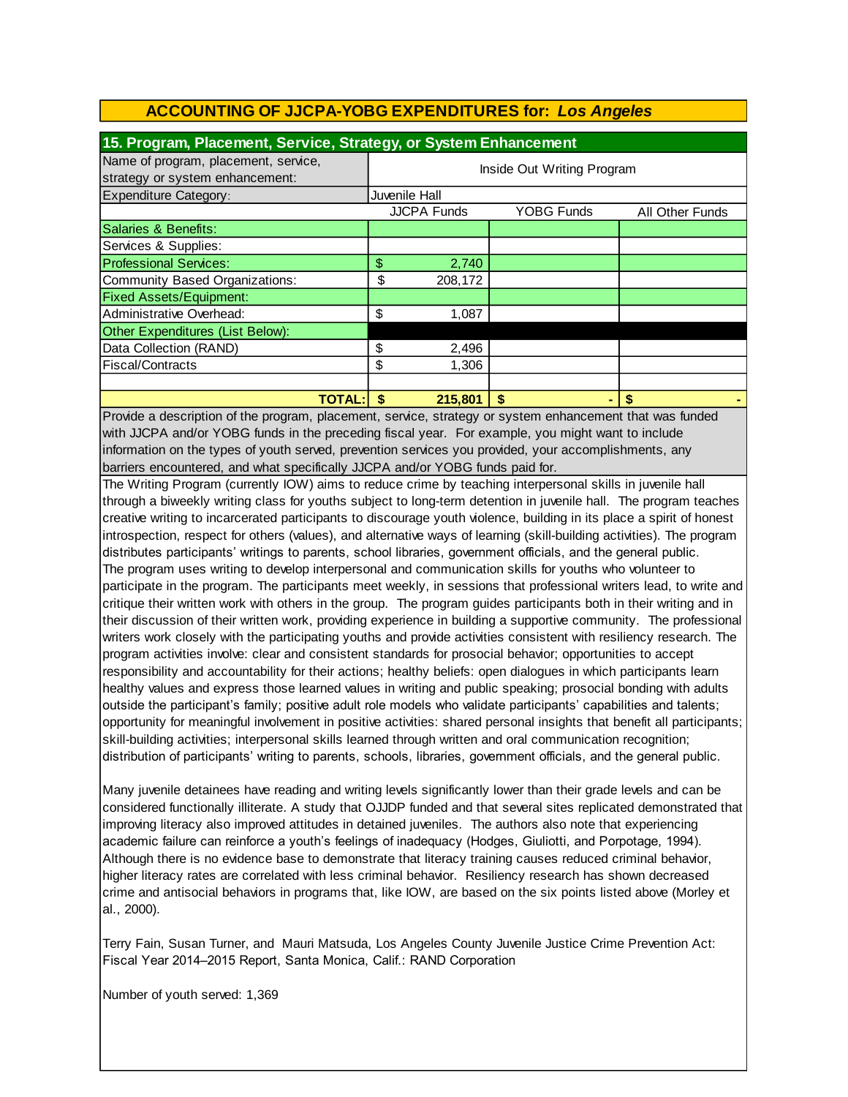| 15. Program, Placement, Service, Strategy, or System Enhancement        |                            |                    |                   |  |                        |
|-------------------------------------------------------------------------|----------------------------|--------------------|-------------------|--|------------------------|
| Name of program, placement, service,<br>strategy or system enhancement: | Inside Out Writing Program |                    |                   |  |                        |
| Expenditure Category:                                                   | Juvenile Hall              |                    |                   |  |                        |
|                                                                         |                            | <b>JJCPA Funds</b> | <b>YOBG Funds</b> |  | <b>All Other Funds</b> |
| Salaries & Benefits:                                                    |                            |                    |                   |  |                        |
| Services & Supplies:                                                    |                            |                    |                   |  |                        |
| <b>Professional Services:</b>                                           | \$                         | 2,740              |                   |  |                        |
| Community Based Organizations:                                          | \$                         | 208,172            |                   |  |                        |
| <b>Fixed Assets/Equipment:</b>                                          |                            |                    |                   |  |                        |
| Administrative Overhead:                                                | \$                         | 1,087              |                   |  |                        |
| Other Expenditures (List Below):                                        |                            |                    |                   |  |                        |
| Data Collection (RAND)                                                  | \$                         | 2,496              |                   |  |                        |
| <b>Fiscal/Contracts</b>                                                 | \$                         | 1,306              |                   |  |                        |
|                                                                         |                            |                    |                   |  |                        |
| TOTAL:                                                                  |                            | 215,801            | \$                |  | S                      |

with JJCPA and/or YOBG funds in the preceding fiscal year. For example, you might want to include information on the types of youth served, prevention services you provided, your accomplishments, any barriers encountered, and what specifically JJCPA and/or YOBG funds paid for. Provide a description of the program, placement, service, strategy or system enhancement that was funded

The Writing Program (currently IOW) aims to reduce crime by teaching interpersonal skills in juvenile hall through a biweekly writing class for youths subject to long-term detention in juvenile hall. The program teaches creative writing to incarcerated participants to discourage youth violence, building in its place a spirit of honest introspection, respect for others (values), and alternative ways of learning (skill-building activities). The program distributes participants' writings to parents, school libraries, government officials, and the general public. The program uses writing to develop interpersonal and communication skills for youths who volunteer to participate in the program. The participants meet weekly, in sessions that professional writers lead, to write and critique their written work with others in the group. The program guides participants both in their writing and in their discussion of their written work, providing experience in building a supportive community. The professional writers work closely with the participating youths and provide activities consistent with resiliency research. The program activities involve: clear and consistent standards for prosocial behavior; opportunities to accept responsibility and accountability for their actions; healthy beliefs: open dialogues in which participants learn healthy values and express those learned values in writing and public speaking; prosocial bonding with adults outside the participant's family; positive adult role models who validate participants' capabilities and talents; opportunity for meaningful involvement in positive activities: shared personal insights that benefit all participants; skill-building activities; interpersonal skills learned through written and oral communication recognition; distribution of participants' writing to parents, schools, libraries, government officials, and the general public.

Many juvenile detainees have reading and writing levels significantly lower than their grade levels and can be considered functionally illiterate. A study that OJJDP funded and that several sites replicated demonstrated that improving literacy also improved attitudes in detained juveniles. The authors also note that experiencing academic failure can reinforce a youth's feelings of inadequacy (Hodges, Giuliotti, and Porpotage, 1994). Although there is no evidence base to demonstrate that literacy training causes reduced criminal behavior, higher literacy rates are correlated with less criminal behavior. Resiliency research has shown decreased crime and antisocial behaviors in programs that, like IOW, are based on the six points listed above (Morley et al., 2000).

Terry Fain, Susan Turner, and Mauri Matsuda, Los Angeles County Juvenile Justice Crime Prevention Act: Fiscal Year 2014–2015 Report, Santa Monica, Calif.: RAND Corporation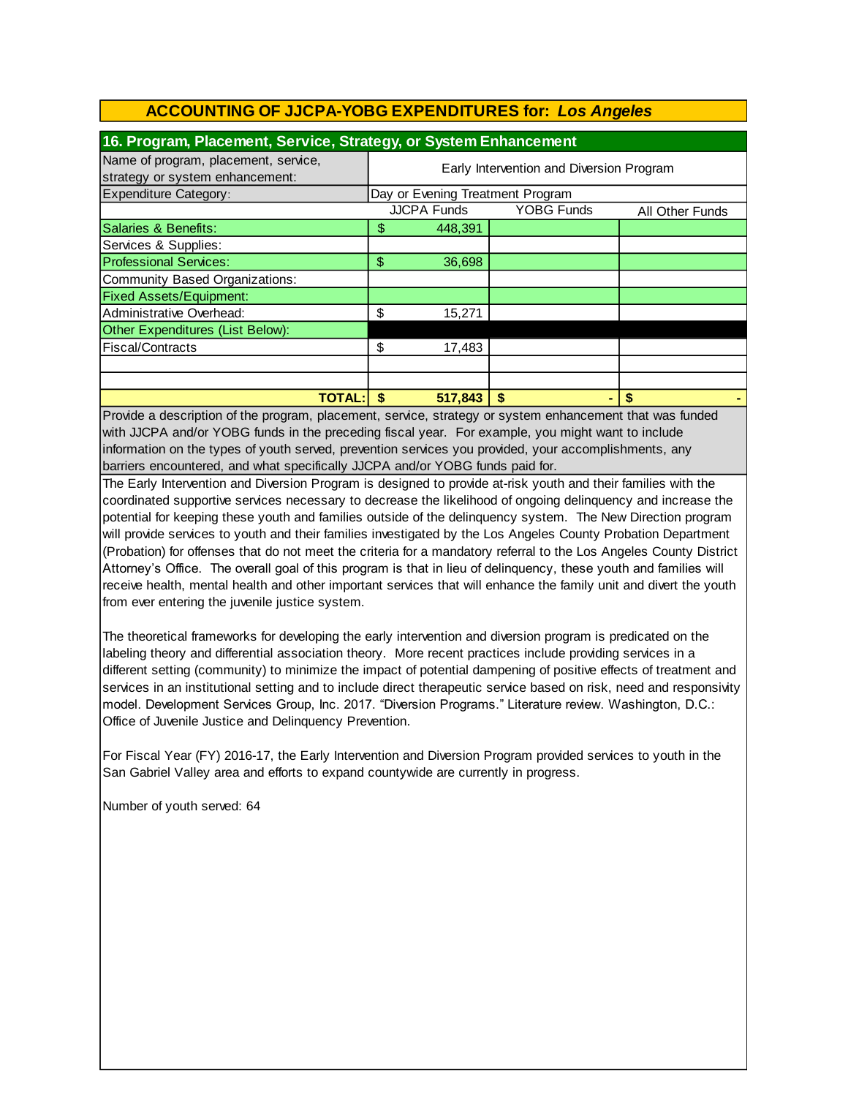| 16. Program, Placement, Service, Strategy, or System Enhancement        |                                          |         |    |                 |  |
|-------------------------------------------------------------------------|------------------------------------------|---------|----|-----------------|--|
| Name of program, placement, service,<br>strategy or system enhancement: | Early Intervention and Diversion Program |         |    |                 |  |
| <b>Expenditure Category:</b>                                            | Day or Evening Treatment Program         |         |    |                 |  |
|                                                                         | <b>JJCPA Funds</b><br><b>YOBG Funds</b>  |         |    | All Other Funds |  |
| Salaries & Benefits:                                                    | \$                                       | 448,391 |    |                 |  |
| Services & Supplies:                                                    |                                          |         |    |                 |  |
| <b>Professional Services:</b>                                           | \$                                       | 36,698  |    |                 |  |
| Community Based Organizations:                                          |                                          |         |    |                 |  |
| <b>Fixed Assets/Equipment:</b>                                          |                                          |         |    |                 |  |
| Administrative Overhead:                                                | \$                                       | 15,271  |    |                 |  |
| Other Expenditures (List Below):                                        |                                          |         |    |                 |  |
| Fiscal/Contracts                                                        | \$                                       | 17,483  |    |                 |  |
|                                                                         |                                          |         |    |                 |  |
|                                                                         |                                          |         |    |                 |  |
| <b>TOTAL:</b>                                                           | \$                                       | 517,843 | \$ |                 |  |

with JJCPA and/or YOBG funds in the preceding fiscal year. For example, you might want to include information on the types of youth served, prevention services you provided, your accomplishments, any barriers encountered, and what specifically JJCPA and/or YOBG funds paid for. Provide a description of the program, placement, service, strategy or system enhancement that was funded

The Early Intervention and Diversion Program is designed to provide at-risk youth and their families with the coordinated supportive services necessary to decrease the likelihood of ongoing delinquency and increase the potential for keeping these youth and families outside of the delinquency system. The New Direction program will provide services to youth and their families investigated by the Los Angeles County Probation Department (Probation) for offenses that do not meet the criteria for a mandatory referral to the Los Angeles County District Attorney's Office. The overall goal of this program is that in lieu of delinquency, these youth and families will receive health, mental health and other important services that will enhance the family unit and divert the youth from ever entering the juvenile justice system.

The theoretical frameworks for developing the early intervention and diversion program is predicated on the labeling theory and differential association theory. More recent practices include providing services in a different setting (community) to minimize the impact of potential dampening of positive effects of treatment and services in an institutional setting and to include direct therapeutic service based on risk, need and responsivity model. Development Services Group, Inc. 2017. "Diversion Programs." Literature review. Washington, D.C.: Office of Juvenile Justice and Delinquency Prevention.

For Fiscal Year (FY) 2016-17, the Early Intervention and Diversion Program provided services to youth in the San Gabriel Valley area and efforts to expand countywide are currently in progress.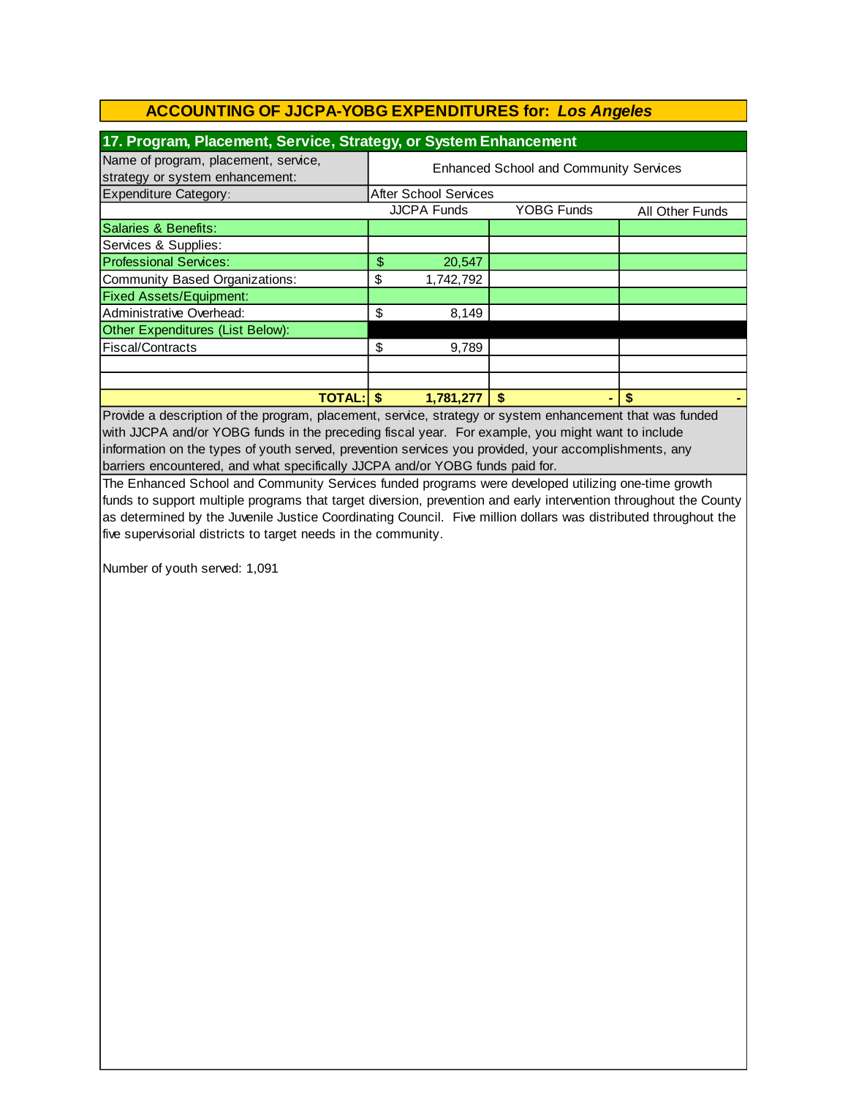| 17. Program, Placement, Service, Strategy, or System Enhancement        |                                               |                              |                   |                 |  |
|-------------------------------------------------------------------------|-----------------------------------------------|------------------------------|-------------------|-----------------|--|
| Name of program, placement, service,<br>strategy or system enhancement: | <b>Enhanced School and Community Services</b> |                              |                   |                 |  |
| <b>Expenditure Category:</b>                                            |                                               | <b>After School Services</b> |                   |                 |  |
|                                                                         |                                               | <b>JJCPA Funds</b>           | <b>YOBG Funds</b> | All Other Funds |  |
| Salaries & Benefits:                                                    |                                               |                              |                   |                 |  |
| Services & Supplies:                                                    |                                               |                              |                   |                 |  |
| <b>Professional Services:</b>                                           | \$                                            | 20,547                       |                   |                 |  |
| Community Based Organizations:                                          | \$                                            | 1,742,792                    |                   |                 |  |
| <b>Fixed Assets/Equipment:</b>                                          |                                               |                              |                   |                 |  |
| Administrative Overhead:                                                | \$                                            | 8,149                        |                   |                 |  |
| Other Expenditures (List Below):                                        |                                               |                              |                   |                 |  |
| Fiscal/Contracts                                                        | \$                                            | 9,789                        |                   |                 |  |
|                                                                         |                                               |                              |                   |                 |  |
|                                                                         |                                               |                              |                   |                 |  |
| <b>TOTAL: S</b>                                                         |                                               | 1,781,277                    | \$                |                 |  |

Provide a description of the program, placement, service, strategy or system enhancement that was funded with JJCPA and/or YOBG funds in the preceding fiscal year. For example, you might want to include information on the types of youth served, prevention services you provided, your accomplishments, any barriers encountered, and what specifically JJCPA and/or YOBG funds paid for.

The Enhanced School and Community Services funded programs were developed utilizing one-time growth funds to support multiple programs that target diversion, prevention and early intervention throughout the County as determined by the Juvenile Justice Coordinating Council. Five million dollars was distributed throughout the five supervisorial districts to target needs in the community.